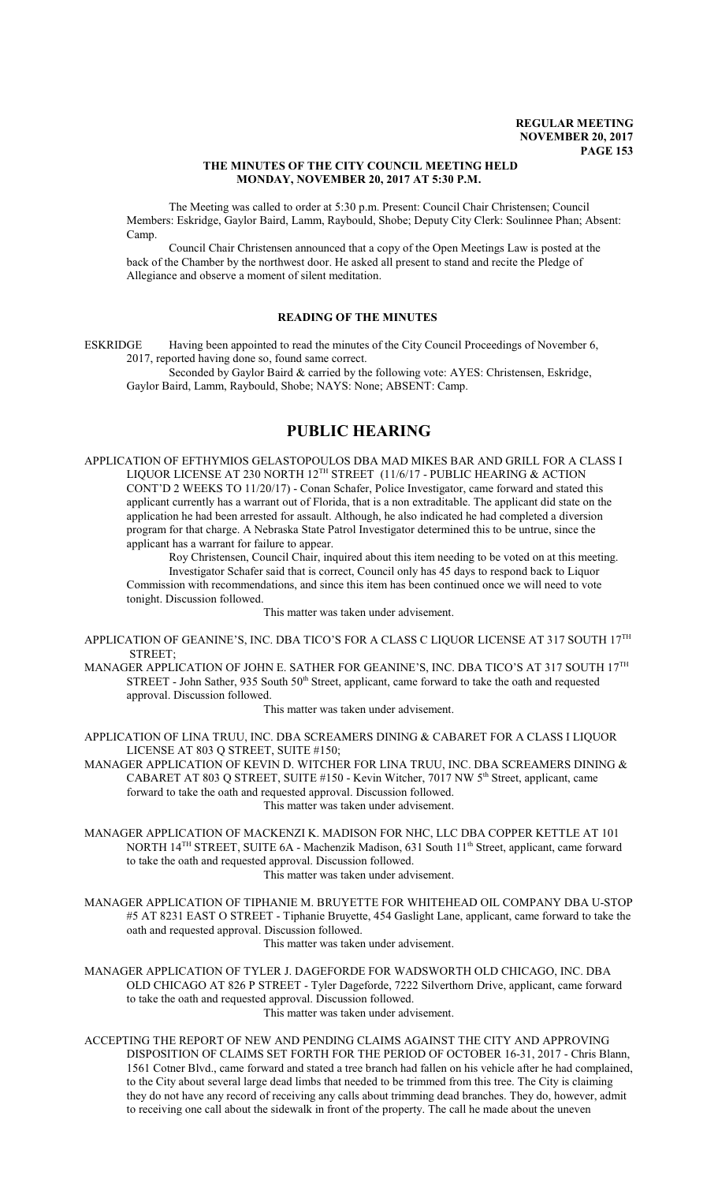### **THE MINUTES OF THE CITY COUNCIL MEETING HELD MONDAY, NOVEMBER 20, 2017 AT 5:30 P.M.**

The Meeting was called to order at 5:30 p.m. Present: Council Chair Christensen; Council Members: Eskridge, Gaylor Baird, Lamm, Raybould, Shobe; Deputy City Clerk: Soulinnee Phan; Absent: Camp.

Council Chair Christensen announced that a copy of the Open Meetings Law is posted at the back of the Chamber by the northwest door. He asked all present to stand and recite the Pledge of Allegiance and observe a moment of silent meditation.

# **READING OF THE MINUTES**

ESKRIDGE Having been appointed to read the minutes of the City Council Proceedings of November 6, 2017, reported having done so, found same correct.

Seconded by Gaylor Baird & carried by the following vote: AYES: Christensen, Eskridge, Gaylor Baird, Lamm, Raybould, Shobe; NAYS: None; ABSENT: Camp.

# **PUBLIC HEARING**

APPLICATION OF EFTHYMIOS GELASTOPOULOS DBA MAD MIKES BAR AND GRILL FOR A CLASS I LIQUOR LICENSE AT 230 NORTH 12™ STREET (11/6/17 - PUBLIC HEARING & ACTION CONT'D 2 WEEKS TO 11/20/17) - Conan Schafer, Police Investigator, came forward and stated this applicant currently has a warrant out of Florida, that is a non extraditable. The applicant did state on the application he had been arrested for assault. Although, he also indicated he had completed a diversion program for that charge. A Nebraska State Patrol Investigator determined this to be untrue, since the applicant has a warrant for failure to appear.

Roy Christensen, Council Chair, inquired about this item needing to be voted on at this meeting. Investigator Schafer said that is correct, Council only has 45 days to respond back to Liquor Commission with recommendations, and since this item has been continued once we will need to vote tonight. Discussion followed.

This matter was taken under advisement.

APPLICATION OF GEANINE'S, INC. DBA TICO'S FOR A CLASS C LIQUOR LICENSE AT 317 SOUTH  $17^{\rm TH}$ STREET;

MANAGER APPLICATION OF JOHN E. SATHER FOR GEANINE'S, INC. DBA TICO'S AT 317 SOUTH 17 $^{\text{\tiny{TH}}}$ STREET - John Sather, 935 South 50<sup>th</sup> Street, applicant, came forward to take the oath and requested approval. Discussion followed.

This matter was taken under advisement.

APPLICATION OF LINA TRUU, INC. DBA SCREAMERS DINING & CABARET FOR A CLASS I LIQUOR LICENSE AT 803 Q STREET, SUITE #150;

MANAGER APPLICATION OF KEVIN D. WITCHER FOR LINA TRUU, INC. DBA SCREAMERS DINING  $\&$ CABARET AT 803 Q STREET, SUITE #150 - Kevin Witcher, 7017 NW 5<sup>th</sup> Street, applicant, came forward to take the oath and requested approval. Discussion followed. This matter was taken under advisement.

- MANAGER APPLICATION OF MACKENZI K. MADISON FOR NHC, LLC DBA COPPER KETTLE AT 101 NORTH 14<sup>TH</sup> STREET, SUITE 6A - Machenzik Madison, 631 South 11<sup>th</sup> Street, applicant, came forward to take the oath and requested approval. Discussion followed. This matter was taken under advisement.
- MANAGER APPLICATION OF TIPHANIE M. BRUYETTE FOR WHITEHEAD OIL COMPANY DBA U-STOP #5 AT 8231 EAST O STREET - Tiphanie Bruyette, 454 Gaslight Lane, applicant, came forward to take the oath and requested approval. Discussion followed.

This matter was taken under advisement.

MANAGER APPLICATION OF TYLER J. DAGEFORDE FOR WADSWORTH OLD CHICAGO, INC. DBA OLD CHICAGO AT 826 P STREET - Tyler Dageforde, 7222 Silverthorn Drive, applicant, came forward to take the oath and requested approval. Discussion followed. This matter was taken under advisement.

ACCEPTING THE REPORT OF NEW AND PENDING CLAIMS AGAINST THE CITY AND APPROVING DISPOSITION OF CLAIMS SET FORTH FOR THE PERIOD OF OCTOBER 16-31, 2017 - Chris Blann, 1561 Cotner Blvd., came forward and stated a tree branch had fallen on his vehicle after he had complained, to the City about several large dead limbs that needed to be trimmed from this tree. The City is claiming they do not have any record of receiving any calls about trimming dead branches. They do, however, admit to receiving one call about the sidewalk in front of the property. The call he made about the uneven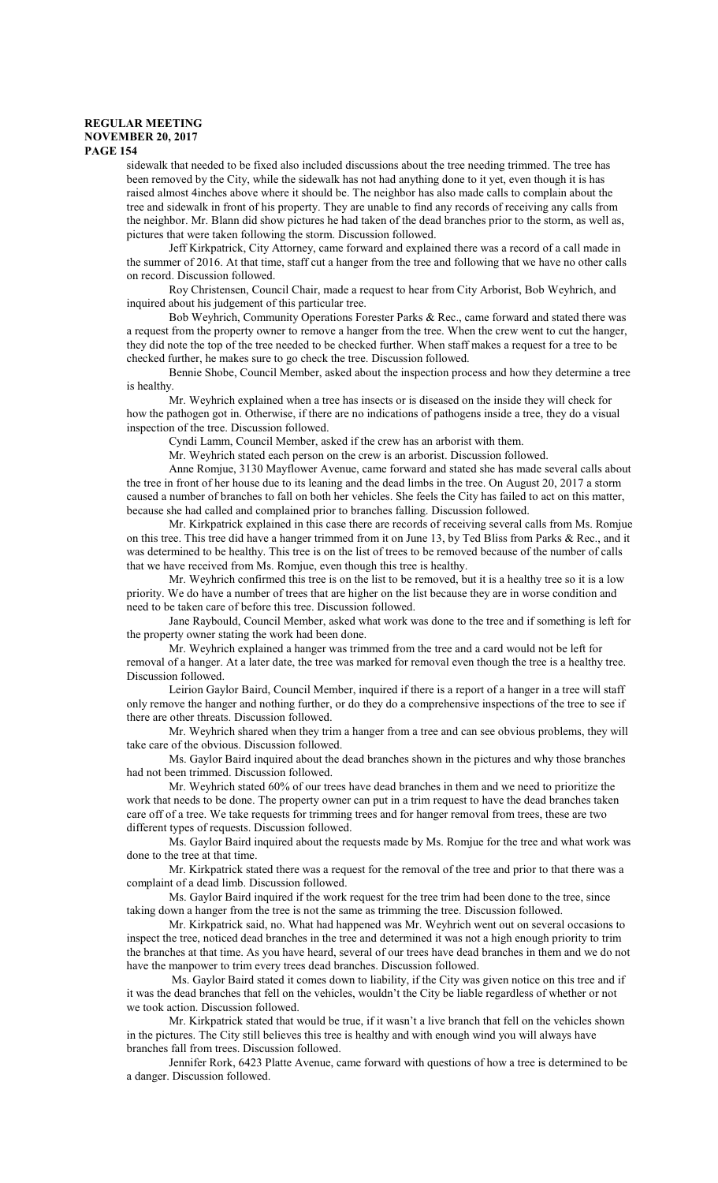sidewalk that needed to be fixed also included discussions about the tree needing trimmed. The tree has been removed by the City, while the sidewalk has not had anything done to it yet, even though it is has raised almost 4inches above where it should be. The neighbor has also made calls to complain about the tree and sidewalk in front of his property. They are unable to find any records of receiving any calls from the neighbor. Mr. Blann did show pictures he had taken of the dead branches prior to the storm, as well as, pictures that were taken following the storm. Discussion followed.

Jeff Kirkpatrick, City Attorney, came forward and explained there was a record of a call made in the summer of 2016. At that time, staff cut a hanger from the tree and following that we have no other calls on record. Discussion followed.

Roy Christensen, Council Chair, made a request to hear from City Arborist, Bob Weyhrich, and inquired about his judgement of this particular tree.

Bob Weyhrich, Community Operations Forester Parks & Rec., came forward and stated there was a request from the property owner to remove a hanger from the tree. When the crew went to cut the hanger, they did note the top of the tree needed to be checked further. When staff makes a request for a tree to be checked further, he makes sure to go check the tree. Discussion followed.

Bennie Shobe, Council Member, asked about the inspection process and how they determine a tree is healthy.

Mr. Weyhrich explained when a tree has insects or is diseased on the inside they will check for how the pathogen got in. Otherwise, if there are no indications of pathogens inside a tree, they do a visual inspection of the tree. Discussion followed.

Cyndi Lamm, Council Member, asked if the crew has an arborist with them.

Mr. Weyhrich stated each person on the crew is an arborist. Discussion followed.

Anne Romjue, 3130 Mayflower Avenue, came forward and stated she has made several calls about the tree in front of her house due to its leaning and the dead limbs in the tree. On August 20, 2017 a storm caused a number of branches to fall on both her vehicles. She feels the City has failed to act on this matter, because she had called and complained prior to branches falling. Discussion followed.

Mr. Kirkpatrick explained in this case there are records of receiving several calls from Ms. Romjue on this tree. This tree did have a hanger trimmed from it on June 13, by Ted Bliss from Parks & Rec., and it was determined to be healthy. This tree is on the list of trees to be removed because of the number of calls that we have received from Ms. Romjue, even though this tree is healthy.

Mr. Weyhrich confirmed this tree is on the list to be removed, but it is a healthy tree so it is a low priority. We do have a number of trees that are higher on the list because they are in worse condition and need to be taken care of before this tree. Discussion followed.

Jane Raybould, Council Member, asked what work was done to the tree and if something is left for the property owner stating the work had been done.

Mr. Weyhrich explained a hanger was trimmed from the tree and a card would not be left for removal of a hanger. At a later date, the tree was marked for removal even though the tree is a healthy tree. Discussion followed.

Leirion Gaylor Baird, Council Member, inquired if there is a report of a hanger in a tree will staff only remove the hanger and nothing further, or do they do a comprehensive inspections of the tree to see if there are other threats. Discussion followed.

Mr. Weyhrich shared when they trim a hanger from a tree and can see obvious problems, they will take care of the obvious. Discussion followed.

Ms. Gaylor Baird inquired about the dead branches shown in the pictures and why those branches had not been trimmed. Discussion followed.

Mr. Weyhrich stated 60% of our trees have dead branches in them and we need to prioritize the work that needs to be done. The property owner can put in a trim request to have the dead branches taken care off of a tree. We take requests for trimming trees and for hanger removal from trees, these are two different types of requests. Discussion followed.

Ms. Gaylor Baird inquired about the requests made by Ms. Romjue for the tree and what work was done to the tree at that time.

Mr. Kirkpatrick stated there was a request for the removal of the tree and prior to that there was a complaint of a dead limb. Discussion followed.

Ms. Gaylor Baird inquired if the work request for the tree trim had been done to the tree, since taking down a hanger from the tree is not the same as trimming the tree. Discussion followed.

Mr. Kirkpatrick said, no. What had happened was Mr. Weyhrich went out on several occasions to inspect the tree, noticed dead branches in the tree and determined it was not a high enough priority to trim the branches at that time. As you have heard, several of our trees have dead branches in them and we do not have the manpower to trim every trees dead branches. Discussion followed.

 Ms. Gaylor Baird stated it comes down to liability, if the City was given notice on this tree and if it was the dead branches that fell on the vehicles, wouldn't the City be liable regardless of whether or not we took action. Discussion followed.

Mr. Kirkpatrick stated that would be true, if it wasn't a live branch that fell on the vehicles shown in the pictures. The City still believes this tree is healthy and with enough wind you will always have branches fall from trees. Discussion followed.

Jennifer Rork, 6423 Platte Avenue, came forward with questions of how a tree is determined to be a danger. Discussion followed.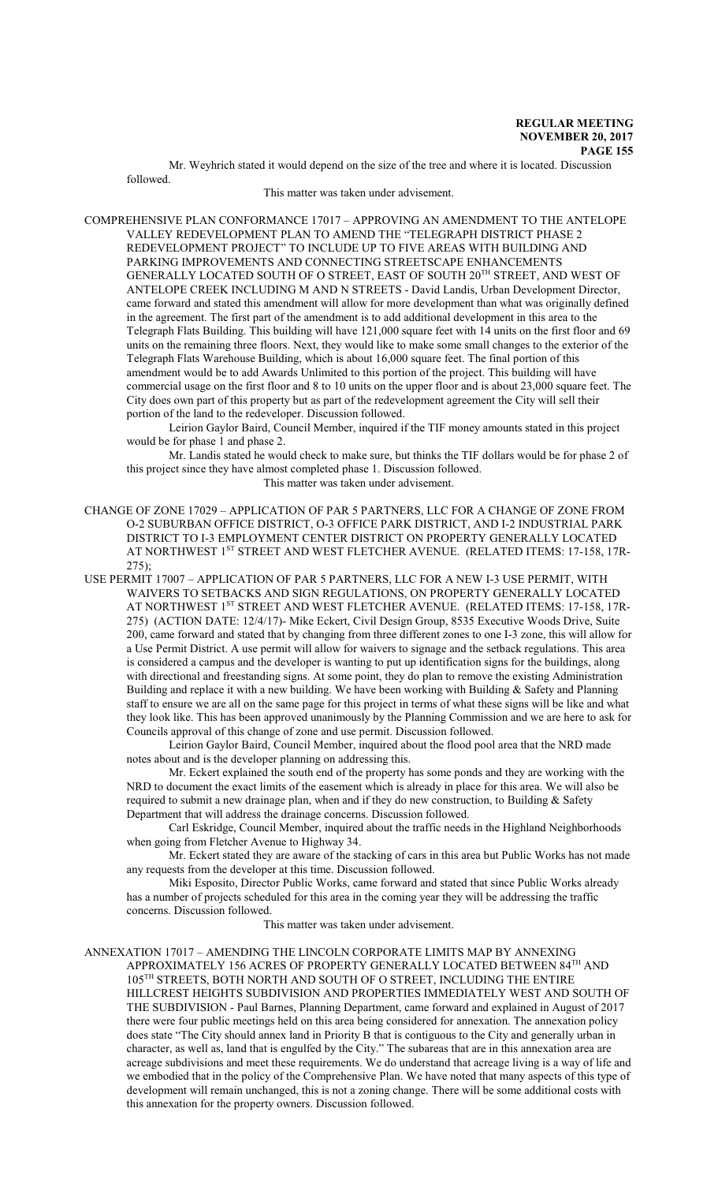Mr. Weyhrich stated it would depend on the size of the tree and where it is located. Discussion followed.

#### This matter was taken under advisement.

COMPREHENSIVE PLAN CONFORMANCE 17017 – APPROVING AN AMENDMENT TO THE ANTELOPE VALLEY REDEVELOPMENT PLAN TO AMEND THE "TELEGRAPH DISTRICT PHASE 2 REDEVELOPMENT PROJECT" TO INCLUDE UP TO FIVE AREAS WITH BUILDING AND PARKING IMPROVEMENTS AND CONNECTING STREETSCAPE ENHANCEMENTS GENERALLY LOCATED SOUTH OF O STREET, EAST OF SOUTH 20<sup>th</sup> STREET, AND WEST OF ANTELOPE CREEK INCLUDING M AND N STREETS - David Landis, Urban Development Director, came forward and stated this amendment will allow for more development than what was originally defined in the agreement. The first part of the amendment is to add additional development in this area to the Telegraph Flats Building. This building will have 121,000 square feet with 14 units on the first floor and 69 units on the remaining three floors. Next, they would like to make some small changes to the exterior of the Telegraph Flats Warehouse Building, which is about 16,000 square feet. The final portion of this amendment would be to add Awards Unlimited to this portion of the project. This building will have commercial usage on the first floor and 8 to 10 units on the upper floor and is about 23,000 square feet. The City does own part of this property but as part of the redevelopment agreement the City will sell their portion of the land to the redeveloper. Discussion followed.

Leirion Gaylor Baird, Council Member, inquired if the TIF money amounts stated in this project would be for phase 1 and phase 2.

Mr. Landis stated he would check to make sure, but thinks the TIF dollars would be for phase 2 of this project since they have almost completed phase 1. Discussion followed. This matter was taken under advisement.

CHANGE OF ZONE 17029 – APPLICATION OF PAR 5 PARTNERS, LLC FOR A CHANGE OF ZONE FROM O-2 SUBURBAN OFFICE DISTRICT, O-3 OFFICE PARK DISTRICT, AND I-2 INDUSTRIAL PARK DISTRICT TO I-3 EMPLOYMENT CENTER DISTRICT ON PROPERTY GENERALLY LOCATED AT NORTHWEST 1<sup>ST</sup> STREET AND WEST FLETCHER AVENUE. (RELATED ITEMS: 17-158, 17R-275);

USE PERMIT 17007 – APPLICATION OF PAR 5 PARTNERS, LLC FOR A NEW I-3 USE PERMIT, WITH WAIVERS TO SETBACKS AND SIGN REGULATIONS, ON PROPERTY GENERALLY LOCATED AT NORTHWEST 1<sup>ST</sup> STREET AND WEST FLETCHER AVENUE. (RELATED ITEMS: 17-158, 17R-275) (ACTION DATE: 12/4/17)- Mike Eckert, Civil Design Group, 8535 Executive Woods Drive, Suite 200, came forward and stated that by changing from three different zones to one I-3 zone, this will allow for a Use Permit District. A use permit will allow for waivers to signage and the setback regulations. This area is considered a campus and the developer is wanting to put up identification signs for the buildings, along with directional and freestanding signs. At some point, they do plan to remove the existing Administration Building and replace it with a new building. We have been working with Building  $\&$  Safety and Planning staff to ensure we are all on the same page for this project in terms of what these signs will be like and what they look like. This has been approved unanimously by the Planning Commission and we are here to ask for Councils approval of this change of zone and use permit. Discussion followed.

Leirion Gaylor Baird, Council Member, inquired about the flood pool area that the NRD made notes about and is the developer planning on addressing this.

Mr. Eckert explained the south end of the property has some ponds and they are working with the NRD to document the exact limits of the easement which is already in place for this area. We will also be required to submit a new drainage plan, when and if they do new construction, to Building  $&$  Safety Department that will address the drainage concerns. Discussion followed.

Carl Eskridge, Council Member, inquired about the traffic needs in the Highland Neighborhoods when going from Fletcher Avenue to Highway 34.

Mr. Eckert stated they are aware of the stacking of cars in this area but Public Works has not made any requests from the developer at this time. Discussion followed.

Miki Esposito, Director Public Works, came forward and stated that since Public Works already has a number of projects scheduled for this area in the coming year they will be addressing the traffic concerns. Discussion followed.

This matter was taken under advisement.

ANNEXATION 17017 – AMENDING THE LINCOLN CORPORATE LIMITS MAP BY ANNEXING APPROXIMATELY 156 ACRES OF PROPERTY GENERALLY LOCATED BETWEEN  $84^{\text{\tiny{TH}}}$  AND 105 TH STREETS, BOTH NORTH AND SOUTH OF O STREET, INCLUDING THE ENTIRE HILLCREST HEIGHTS SUBDIVISION AND PROPERTIES IMMEDIATELY WEST AND SOUTH OF THE SUBDIVISION - Paul Barnes, Planning Department, came forward and explained in August of 2017 there were four public meetings held on this area being considered for annexation. The annexation policy does state "The City should annex land in Priority B that is contiguous to the City and generally urban in character, as well as, land that is engulfed by the City." The subareas that are in this annexation area are acreage subdivisions and meet these requirements. We do understand that acreage living is a way of life and we embodied that in the policy of the Comprehensive Plan. We have noted that many aspects of this type of development will remain unchanged, this is not a zoning change. There will be some additional costs with this annexation for the property owners. Discussion followed.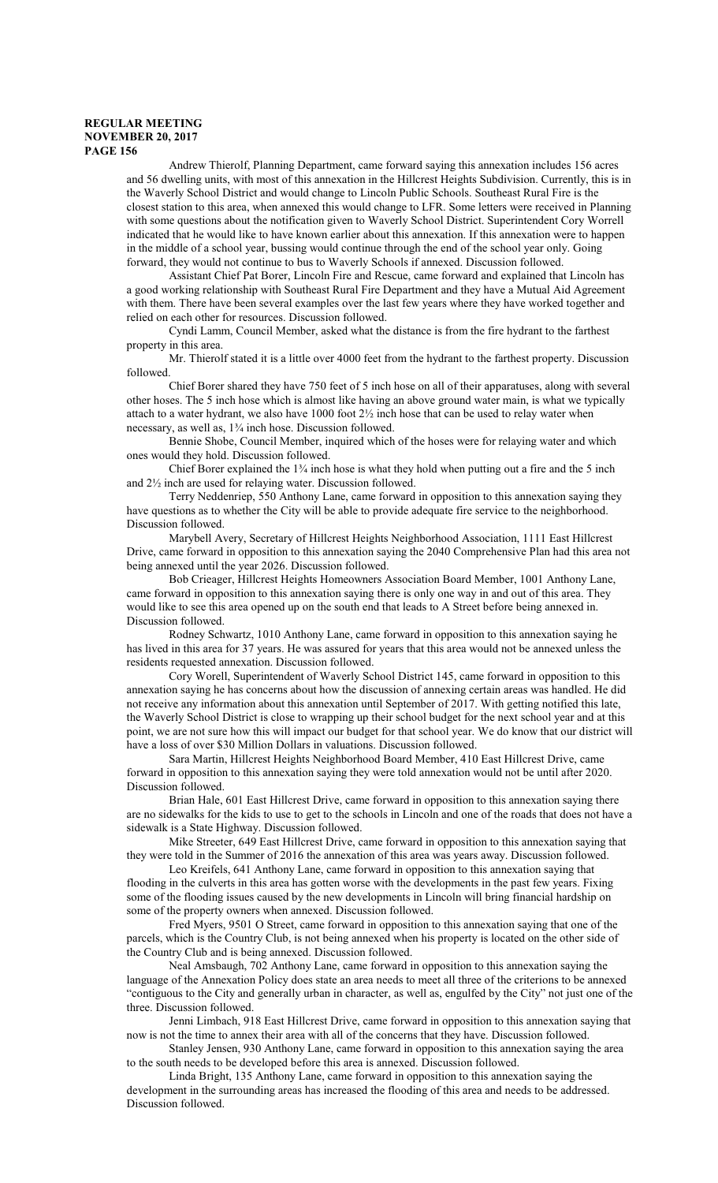Andrew Thierolf, Planning Department, came forward saying this annexation includes 156 acres and 56 dwelling units, with most of this annexation in the Hillcrest Heights Subdivision. Currently, this is in the Waverly School District and would change to Lincoln Public Schools. Southeast Rural Fire is the closest station to this area, when annexed this would change to LFR. Some letters were received in Planning with some questions about the notification given to Waverly School District. Superintendent Cory Worrell indicated that he would like to have known earlier about this annexation. If this annexation were to happen in the middle of a school year, bussing would continue through the end of the school year only. Going forward, they would not continue to bus to Waverly Schools if annexed. Discussion followed.

Assistant Chief Pat Borer, Lincoln Fire and Rescue, came forward and explained that Lincoln has a good working relationship with Southeast Rural Fire Department and they have a Mutual Aid Agreement with them. There have been several examples over the last few years where they have worked together and relied on each other for resources. Discussion followed.

Cyndi Lamm, Council Member, asked what the distance is from the fire hydrant to the farthest property in this area.

Mr. Thierolf stated it is a little over 4000 feet from the hydrant to the farthest property. Discussion followed.

Chief Borer shared they have 750 feet of 5 inch hose on all of their apparatuses, along with several other hoses. The 5 inch hose which is almost like having an above ground water main, is what we typically attach to a water hydrant, we also have 1000 foot 2½ inch hose that can be used to relay water when necessary, as well as, 1¾ inch hose. Discussion followed.

Bennie Shobe, Council Member, inquired which of the hoses were for relaying water and which ones would they hold. Discussion followed.

Chief Borer explained the  $1\frac{3}{4}$  inch hose is what they hold when putting out a fire and the 5 inch and 2½ inch are used for relaying water. Discussion followed.

Terry Neddenriep, 550 Anthony Lane, came forward in opposition to this annexation saying they have questions as to whether the City will be able to provide adequate fire service to the neighborhood. Discussion followed.

Marybell Avery, Secretary of Hillcrest Heights Neighborhood Association, 1111 East Hillcrest Drive, came forward in opposition to this annexation saying the 2040 Comprehensive Plan had this area not being annexed until the year 2026. Discussion followed.

Bob Crieager, Hillcrest Heights Homeowners Association Board Member, 1001 Anthony Lane, came forward in opposition to this annexation saying there is only one way in and out of this area. They would like to see this area opened up on the south end that leads to A Street before being annexed in. Discussion followed.

Rodney Schwartz, 1010 Anthony Lane, came forward in opposition to this annexation saying he has lived in this area for 37 years. He was assured for years that this area would not be annexed unless the residents requested annexation. Discussion followed.

Cory Worell, Superintendent of Waverly School District 145, came forward in opposition to this annexation saying he has concerns about how the discussion of annexing certain areas was handled. He did not receive any information about this annexation until September of 2017. With getting notified this late, the Waverly School District is close to wrapping up their school budget for the next school year and at this point, we are not sure how this will impact our budget for that school year. We do know that our district will have a loss of over \$30 Million Dollars in valuations. Discussion followed.

Sara Martin, Hillcrest Heights Neighborhood Board Member, 410 East Hillcrest Drive, came forward in opposition to this annexation saying they were told annexation would not be until after 2020. Discussion followed.

Brian Hale, 601 East Hillcrest Drive, came forward in opposition to this annexation saying there are no sidewalks for the kids to use to get to the schools in Lincoln and one of the roads that does not have a sidewalk is a State Highway. Discussion followed.

Mike Streeter, 649 East Hillcrest Drive, came forward in opposition to this annexation saying that they were told in the Summer of 2016 the annexation of this area was years away. Discussion followed.

Leo Kreifels, 641 Anthony Lane, came forward in opposition to this annexation saying that flooding in the culverts in this area has gotten worse with the developments in the past few years. Fixing some of the flooding issues caused by the new developments in Lincoln will bring financial hardship on some of the property owners when annexed. Discussion followed.

Fred Myers, 9501 O Street, came forward in opposition to this annexation saying that one of the parcels, which is the Country Club, is not being annexed when his property is located on the other side of the Country Club and is being annexed. Discussion followed.

Neal Amsbaugh, 702 Anthony Lane, came forward in opposition to this annexation saying the language of the Annexation Policy does state an area needs to meet all three of the criterions to be annexed "contiguous to the City and generally urban in character, as well as, engulfed by the City" not just one of the three. Discussion followed.

Jenni Limbach, 918 East Hillcrest Drive, came forward in opposition to this annexation saying that now is not the time to annex their area with all of the concerns that they have. Discussion followed.

Stanley Jensen, 930 Anthony Lane, came forward in opposition to this annexation saying the area to the south needs to be developed before this area is annexed. Discussion followed.

Linda Bright, 135 Anthony Lane, came forward in opposition to this annexation saying the development in the surrounding areas has increased the flooding of this area and needs to be addressed. Discussion followed.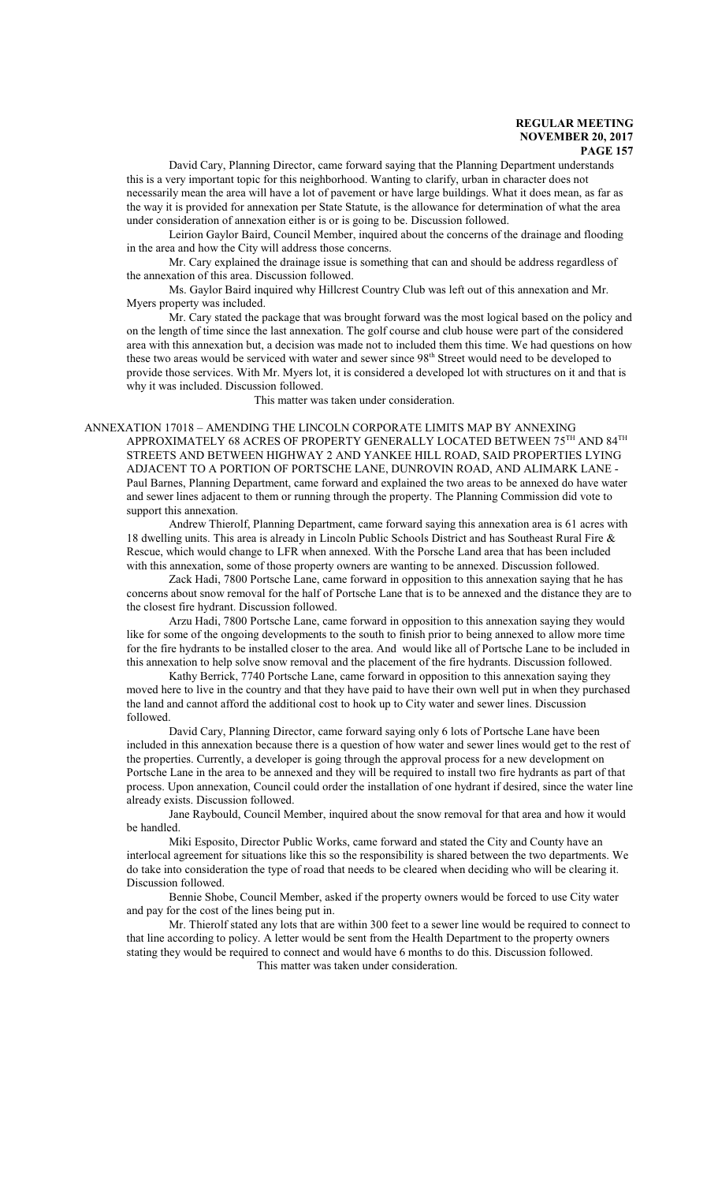David Cary, Planning Director, came forward saying that the Planning Department understands this is a very important topic for this neighborhood. Wanting to clarify, urban in character does not necessarily mean the area will have a lot of pavement or have large buildings. What it does mean, as far as the way it is provided for annexation per State Statute, is the allowance for determination of what the area under consideration of annexation either is or is going to be. Discussion followed.

Leirion Gaylor Baird, Council Member, inquired about the concerns of the drainage and flooding in the area and how the City will address those concerns.

Mr. Cary explained the drainage issue is something that can and should be address regardless of the annexation of this area. Discussion followed.

Ms. Gaylor Baird inquired why Hillcrest Country Club was left out of this annexation and Mr. Myers property was included.

Mr. Cary stated the package that was brought forward was the most logical based on the policy and on the length of time since the last annexation. The golf course and club house were part of the considered area with this annexation but, a decision was made not to included them this time. We had questions on how these two areas would be serviced with water and sewer since 98<sup>th</sup> Street would need to be developed to provide those services. With Mr. Myers lot, it is considered a developed lot with structures on it and that is why it was included. Discussion followed.

This matter was taken under consideration.

ANNEXATION 17018 – AMENDING THE LINCOLN CORPORATE LIMITS MAP BY ANNEXING APPROXIMATELY 68 ACRES OF PROPERTY GENERALLY LOCATED BETWEEN  $75^{\rm TH}$  AND  $84^{\rm TH}$ STREETS AND BETWEEN HIGHWAY 2 AND YANKEE HILL ROAD, SAID PROPERTIES LYING ADJACENT TO A PORTION OF PORTSCHE LANE, DUNROVIN ROAD, AND ALIMARK LANE - Paul Barnes, Planning Department, came forward and explained the two areas to be annexed do have water and sewer lines adjacent to them or running through the property. The Planning Commission did vote to support this annexation.

Andrew Thierolf, Planning Department, came forward saying this annexation area is 61 acres with 18 dwelling units. This area is already in Lincoln Public Schools District and has Southeast Rural Fire & Rescue, which would change to LFR when annexed. With the Porsche Land area that has been included with this annexation, some of those property owners are wanting to be annexed. Discussion followed.

Zack Hadi, 7800 Portsche Lane, came forward in opposition to this annexation saying that he has concerns about snow removal for the half of Portsche Lane that is to be annexed and the distance they are to the closest fire hydrant. Discussion followed.

Arzu Hadi, 7800 Portsche Lane, came forward in opposition to this annexation saying they would like for some of the ongoing developments to the south to finish prior to being annexed to allow more time for the fire hydrants to be installed closer to the area. And would like all of Portsche Lane to be included in this annexation to help solve snow removal and the placement of the fire hydrants. Discussion followed.

Kathy Berrick, 7740 Portsche Lane, came forward in opposition to this annexation saying they moved here to live in the country and that they have paid to have their own well put in when they purchased the land and cannot afford the additional cost to hook up to City water and sewer lines. Discussion followed.

David Cary, Planning Director, came forward saying only 6 lots of Portsche Lane have been included in this annexation because there is a question of how water and sewer lines would get to the rest of the properties. Currently, a developer is going through the approval process for a new development on Portsche Lane in the area to be annexed and they will be required to install two fire hydrants as part of that process. Upon annexation, Council could order the installation of one hydrant if desired, since the water line already exists. Discussion followed.

Jane Raybould, Council Member, inquired about the snow removal for that area and how it would be handled.

Miki Esposito, Director Public Works, came forward and stated the City and County have an interlocal agreement for situations like this so the responsibility is shared between the two departments. We do take into consideration the type of road that needs to be cleared when deciding who will be clearing it. Discussion followed.

Bennie Shobe, Council Member, asked if the property owners would be forced to use City water and pay for the cost of the lines being put in.

Mr. Thierolf stated any lots that are within 300 feet to a sewer line would be required to connect to that line according to policy. A letter would be sent from the Health Department to the property owners stating they would be required to connect and would have 6 months to do this. Discussion followed. This matter was taken under consideration.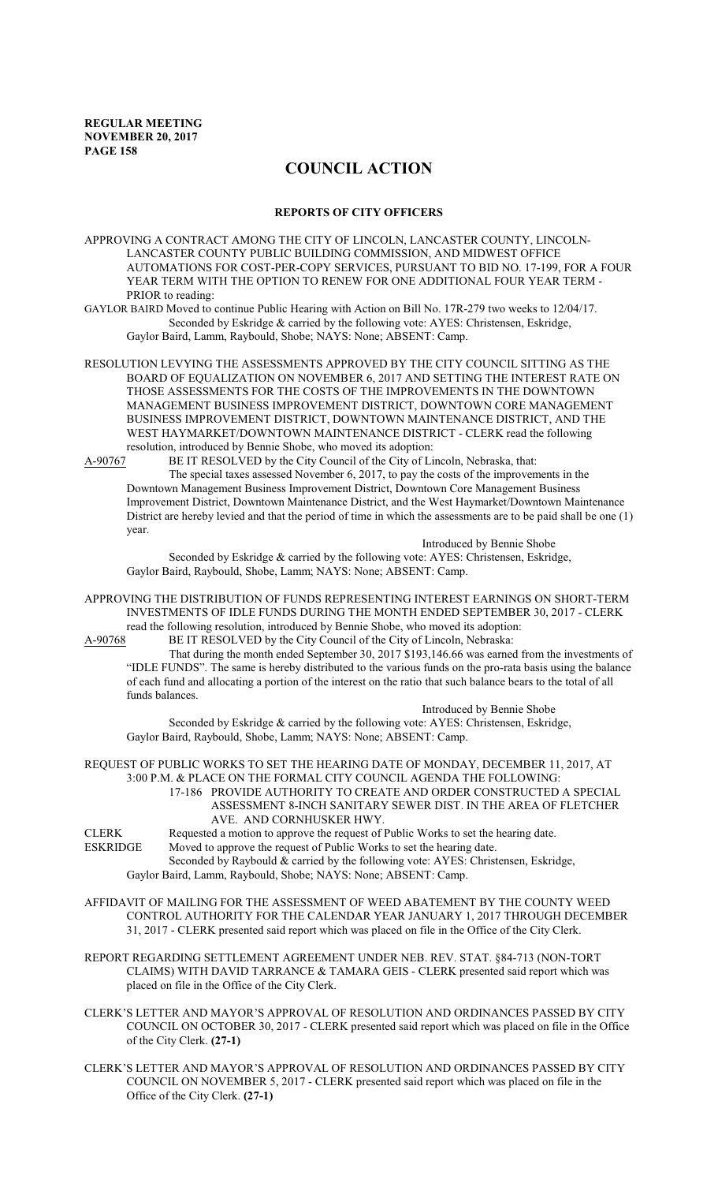# **COUNCIL ACTION**

#### **REPORTS OF CITY OFFICERS**

APPROVING A CONTRACT AMONG THE CITY OF LINCOLN, LANCASTER COUNTY, LINCOLN-LANCASTER COUNTY PUBLIC BUILDING COMMISSION, AND MIDWEST OFFICE AUTOMATIONS FOR COST-PER-COPY SERVICES, PURSUANT TO BID NO. 17-199, FOR A FOUR YEAR TERM WITH THE OPTION TO RENEW FOR ONE ADDITIONAL FOUR YEAR TERM - PRIOR to reading:

GAYLOR BAIRD Moved to continue Public Hearing with Action on Bill No. 17R-279 two weeks to 12/04/17. Seconded by Eskridge & carried by the following vote: AYES: Christensen, Eskridge, Gaylor Baird, Lamm, Raybould, Shobe; NAYS: None; ABSENT: Camp.

RESOLUTION LEVYING THE ASSESSMENTS APPROVED BY THE CITY COUNCIL SITTING AS THE BOARD OF EQUALIZATION ON NOVEMBER 6, 2017 AND SETTING THE INTEREST RATE ON THOSE ASSESSMENTS FOR THE COSTS OF THE IMPROVEMENTS IN THE DOWNTOWN MANAGEMENT BUSINESS IMPROVEMENT DISTRICT, DOWNTOWN CORE MANAGEMENT BUSINESS IMPROVEMENT DISTRICT, DOWNTOWN MAINTENANCE DISTRICT, AND THE WEST HAYMARKET/DOWNTOWN MAINTENANCE DISTRICT - CLERK read the following resolution, introduced by Bennie Shobe, who moved its adoption:

A-90767 BE IT RESOLVED by the City Council of the City of Lincoln, Nebraska, that: The special taxes assessed November 6, 2017, to pay the costs of the improvements in the Downtown Management Business Improvement District, Downtown Core Management Business Improvement District, Downtown Maintenance District, and the West Haymarket/Downtown Maintenance District are hereby levied and that the period of time in which the assessments are to be paid shall be one (1) year.

Introduced by Bennie Shobe Seconded by Eskridge & carried by the following vote: AYES: Christensen, Eskridge, Gaylor Baird, Raybould, Shobe, Lamm; NAYS: None; ABSENT: Camp.

APPROVING THE DISTRIBUTION OF FUNDS REPRESENTING INTEREST EARNINGS ON SHORT-TERM INVESTMENTS OF IDLE FUNDS DURING THE MONTH ENDED SEPTEMBER 30, 2017 - CLERK read the following resolution, introduced by Bennie Shobe, who moved its adoption:

A-90768 BE IT RESOLVED by the City Council of the City of Lincoln, Nebraska:

That during the month ended September 30, 2017 \$193,146.66 was earned from the investments of "IDLE FUNDS". The same is hereby distributed to the various funds on the pro-rata basis using the balance of each fund and allocating a portion of the interest on the ratio that such balance bears to the total of all funds balances.

Introduced by Bennie Shobe

Seconded by Eskridge & carried by the following vote: AYES: Christensen, Eskridge, Gaylor Baird, Raybould, Shobe, Lamm; NAYS: None; ABSENT: Camp.

REQUEST OF PUBLIC WORKS TO SET THE HEARING DATE OF MONDAY, DECEMBER 11, 2017, AT 3:00 P.M. & PLACE ON THE FORMAL CITY COUNCIL AGENDA THE FOLLOWING: 17-186 PROVIDE AUTHORITY TO CREATE AND ORDER CONSTRUCTED A SPECIAL ASSESSMENT 8-INCH SANITARY SEWER DIST. IN THE AREA OF FLETCHER

AVE. AND CORNHUSKER HWY. CLERK Requested a motion to approve the request of Public Works to set the hearing date.

ESKRIDGE Moved to approve the request of Public Works to set the hearing date. Seconded by Raybould & carried by the following vote: AYES: Christensen, Eskridge,

Gaylor Baird, Lamm, Raybould, Shobe; NAYS: None; ABSENT: Camp.

- AFFIDAVIT OF MAILING FOR THE ASSESSMENT OF WEED ABATEMENT BY THE COUNTY WEED CONTROL AUTHORITY FOR THE CALENDAR YEAR JANUARY 1, 2017 THROUGH DECEMBER 31, 2017 - CLERK presented said report which was placed on file in the Office of the City Clerk.
- REPORT REGARDING SETTLEMENT AGREEMENT UNDER NEB. REV. STAT. §84-713 (NON-TORT CLAIMS) WITH DAVID TARRANCE & TAMARA GEIS - CLERK presented said report which was placed on file in the Office of the City Clerk.
- CLERK'S LETTER AND MAYOR'S APPROVAL OF RESOLUTION AND ORDINANCES PASSED BY CITY COUNCIL ON OCTOBER 30, 2017 - CLERK presented said report which was placed on file in the Office of the City Clerk. **(27-1)**
- CLERK'S LETTER AND MAYOR'S APPROVAL OF RESOLUTION AND ORDINANCES PASSED BY CITY COUNCIL ON NOVEMBER 5, 2017 - CLERK presented said report which was placed on file in the Office of the City Clerk. **(27-1)**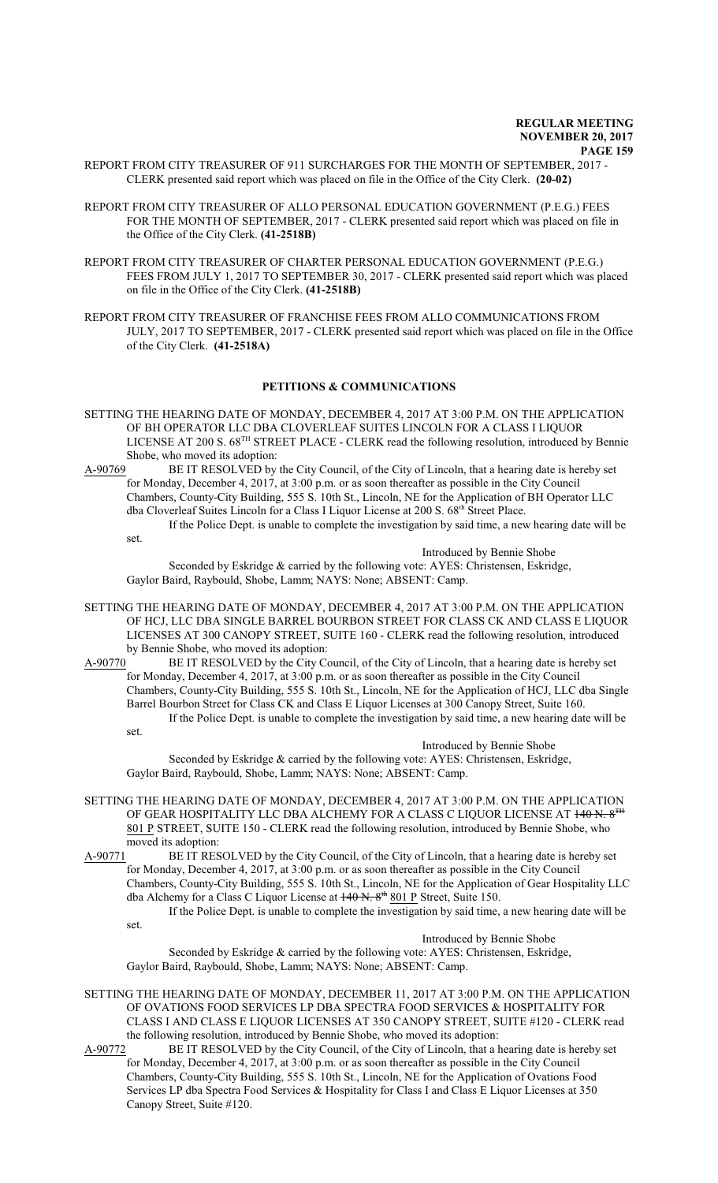- REPORT FROM CITY TREASURER OF 911 SURCHARGES FOR THE MONTH OF SEPTEMBER, 2017 CLERK presented said report which was placed on file in the Office of the City Clerk. **(20-02)**
- REPORT FROM CITY TREASURER OF ALLO PERSONAL EDUCATION GOVERNMENT (P.E.G.) FEES FOR THE MONTH OF SEPTEMBER, 2017 - CLERK presented said report which was placed on file in the Office of the City Clerk. **(41-2518B)**
- REPORT FROM CITY TREASURER OF CHARTER PERSONAL EDUCATION GOVERNMENT (P.E.G.) FEES FROM JULY 1, 2017 TO SEPTEMBER 30, 2017 - CLERK presented said report which was placed on file in the Office of the City Clerk. **(41-2518B)**

REPORT FROM CITY TREASURER OF FRANCHISE FEES FROM ALLO COMMUNICATIONS FROM JULY, 2017 TO SEPTEMBER, 2017 - CLERK presented said report which was placed on file in the Office of the City Clerk. **(41-2518A)**

## **PETITIONS & COMMUNICATIONS**

- SETTING THE HEARING DATE OF MONDAY, DECEMBER 4, 2017 AT 3:00 P.M. ON THE APPLICATION OF BH OPERATOR LLC DBA CLOVERLEAF SUITES LINCOLN FOR A CLASS I LIQUOR LICENSE AT 200 S. 68<sup>TH</sup> STREET PLACE - CLERK read the following resolution, introduced by Bennie Shobe, who moved its adoption:
- A-90769 BE IT RESOLVED by the City Council, of the City of Lincoln, that a hearing date is hereby set for Monday, December 4, 2017, at 3:00 p.m. or as soon thereafter as possible in the City Council Chambers, County-City Building, 555 S. 10th St., Lincoln, NE for the Application of BH Operator LLC dba Cloverleaf Suites Lincoln for a Class I Liquor License at 200 S. 68<sup>th</sup> Street Place.

If the Police Dept. is unable to complete the investigation by said time, a new hearing date will be set.

Introduced by Bennie Shobe

Seconded by Eskridge & carried by the following vote: AYES: Christensen, Eskridge, Gaylor Baird, Raybould, Shobe, Lamm; NAYS: None; ABSENT: Camp.

SETTING THE HEARING DATE OF MONDAY, DECEMBER 4, 2017 AT 3:00 P.M. ON THE APPLICATION OF HCJ, LLC DBA SINGLE BARREL BOURBON STREET FOR CLASS CK AND CLASS E LIQUOR LICENSES AT 300 CANOPY STREET, SUITE 160 - CLERK read the following resolution, introduced by Bennie Shobe, who moved its adoption:<br>A-90770 BE IT RESOLVED by the City Co

BE IT RESOLVED by the City Council, of the City of Lincoln, that a hearing date is hereby set for Monday, December 4, 2017, at 3:00 p.m. or as soon thereafter as possible in the City Council Chambers, County-City Building, 555 S. 10th St., Lincoln, NE for the Application of HCJ, LLC dba Single Barrel Bourbon Street for Class CK and Class E Liquor Licenses at 300 Canopy Street, Suite 160. If the Police Dept. is unable to complete the investigation by said time, a new hearing date will be

set.

Introduced by Bennie Shobe Seconded by Eskridge & carried by the following vote: AYES: Christensen, Eskridge, Gaylor Baird, Raybould, Shobe, Lamm; NAYS: None; ABSENT: Camp.

- SETTING THE HEARING DATE OF MONDAY, DECEMBER 4, 2017 AT 3:00 P.M. ON THE APPLICATION OF GEAR HOSPITALITY LLC DBA ALCHEMY FOR A CLASS C LIQUOR LICENSE AT 140 N. 8<sup>TH</sup> 801 P STREET, SUITE 150 - CLERK read the following resolution, introduced by Bennie Shobe, who moved its adoption:
- A-90771 BE IT RESOLVED by the City Council, of the City of Lincoln, that a hearing date is hereby set for Monday, December 4, 2017, at 3:00 p.m. or as soon thereafter as possible in the City Council Chambers, County-City Building, 555 S. 10th St., Lincoln, NE for the Application of Gear Hospitality LLC dba Alchemy for a Class C Liquor License at  $140 \text{ N.} 8^{\text{th}} 801 \text{ P}$  Street, Suite 150.

If the Police Dept. is unable to complete the investigation by said time, a new hearing date will be set.

Introduced by Bennie Shobe

Seconded by Eskridge & carried by the following vote: AYES: Christensen, Eskridge, Gaylor Baird, Raybould, Shobe, Lamm; NAYS: None; ABSENT: Camp.

SETTING THE HEARING DATE OF MONDAY, DECEMBER 11, 2017 AT 3:00 P.M. ON THE APPLICATION OF OVATIONS FOOD SERVICES LP DBA SPECTRA FOOD SERVICES & HOSPITALITY FOR CLASS I AND CLASS E LIQUOR LICENSES AT 350 CANOPY STREET, SUITE #120 - CLERK read the following resolution, introduced by Bennie Shobe, who moved its adoption:

A-90772 BE IT RESOLVED by the City Council, of the City of Lincoln, that a hearing date is hereby set for Monday, December 4, 2017, at 3:00 p.m. or as soon thereafter as possible in the City Council Chambers, County-City Building, 555 S. 10th St., Lincoln, NE for the Application of Ovations Food Services LP dba Spectra Food Services & Hospitality for Class I and Class E Liquor Licenses at 350 Canopy Street, Suite #120.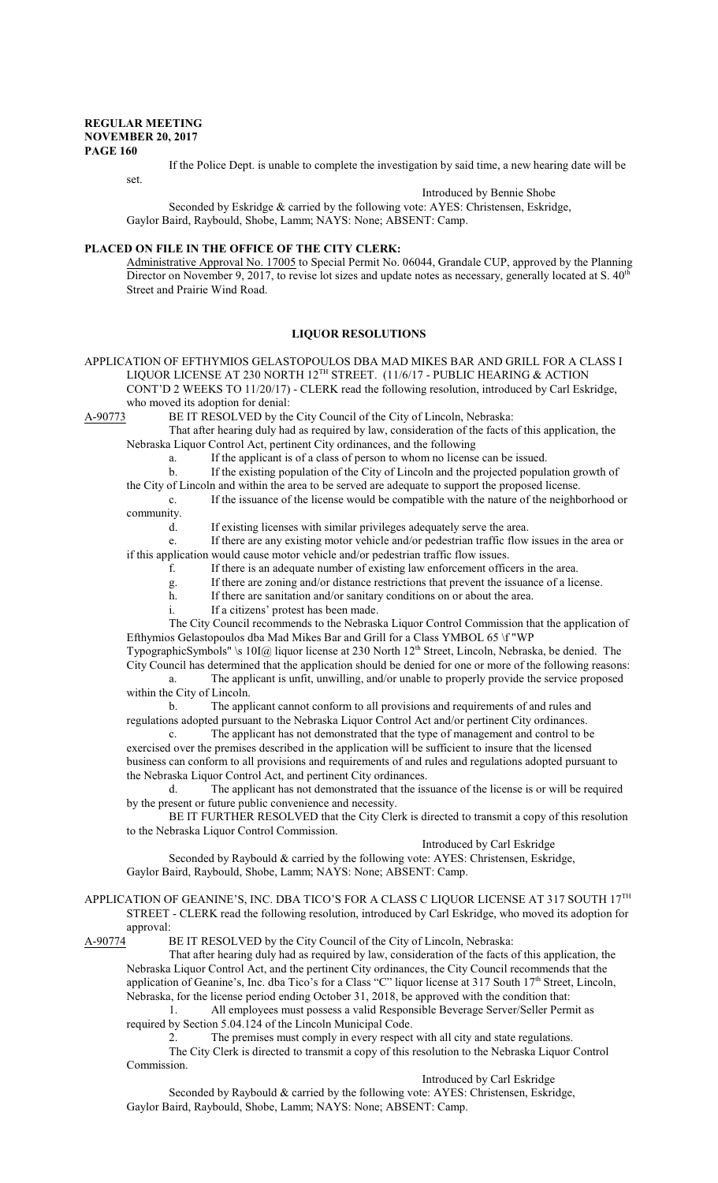set.

If the Police Dept. is unable to complete the investigation by said time, a new hearing date will be

Introduced by Bennie Shobe

Seconded by Eskridge & carried by the following vote: AYES: Christensen, Eskridge, Gaylor Baird, Raybould, Shobe, Lamm; NAYS: None; ABSENT: Camp.

### **PLACED ON FILE IN THE OFFICE OF THE CITY CLERK:**

Administrative Approval No. 17005 to Special Permit No. 06044, Grandale CUP, approved by the Planning Director on November 9, 2017, to revise lot sizes and update notes as necessary, generally located at S. 40<sup>th</sup> Street and Prairie Wind Road.

### **LIQUOR RESOLUTIONS**

APPLICATION OF EFTHYMIOS GELASTOPOULOS DBA MAD MIKES BAR AND GRILL FOR A CLASS I LIQUOR LICENSE AT 230 NORTH 12™ STREET. (11/6/17 - PUBLIC HEARING & ACTION CONT'D 2 WEEKS TO 11/20/17) - CLERK read the following resolution, introduced by Carl Eskridge, who moved its adoption for denial:

A-90773 BE IT RESOLVED by the City Council of the City of Lincoln, Nebraska: That after hearing duly had as required by law, consideration of the facts of this application, the

Nebraska Liquor Control Act, pertinent City ordinances, and the following

a. If the applicant is of a class of person to whom no license can be issued.

b. If the existing population of the City of Lincoln and the projected population growth of

the City of Lincoln and within the area to be served are adequate to support the proposed license.

c. If the issuance of the license would be compatible with the nature of the neighborhood or community.

d. If existing licenses with similar privileges adequately serve the area.

e. If there are any existing motor vehicle and/or pedestrian traffic flow issues in the area or if this application would cause motor vehicle and/or pedestrian traffic flow issues.

f. If there is an adequate number of existing law enforcement officers in the area.

g. If there are zoning and/or distance restrictions that prevent the issuance of a license.

h. If there are sanitation and/or sanitary conditions on or about the area.

i. If a citizens' protest has been made.

The City Council recommends to the Nebraska Liquor Control Commission that the application of Efthymios Gelastopoulos dba Mad Mikes Bar and Grill for a Class YMBOL 65 \f "WP

TypographicSymbols" \s 10I@ liquor license at 230 North 12<sup>th</sup> Street, Lincoln, Nebraska, be denied. The City Council has determined that the application should be denied for one or more of the following reasons: a. The applicant is unfit, unwilling, and/or unable to properly provide the service proposed

within the City of Lincoln. b. The applicant cannot conform to all provisions and requirements of and rules and regulations adopted pursuant to the Nebraska Liquor Control Act and/or pertinent City ordinances.

c. The applicant has not demonstrated that the type of management and control to be exercised over the premises described in the application will be sufficient to insure that the licensed business can conform to all provisions and requirements of and rules and regulations adopted pursuant to the Nebraska Liquor Control Act, and pertinent City ordinances.

d. The applicant has not demonstrated that the issuance of the license is or will be required by the present or future public convenience and necessity.

BE IT FURTHER RESOLVED that the City Clerk is directed to transmit a copy of this resolution to the Nebraska Liquor Control Commission.

### Introduced by Carl Eskridge

Seconded by Raybould & carried by the following vote: AYES: Christensen, Eskridge, Gaylor Baird, Raybould, Shobe, Lamm; NAYS: None; ABSENT: Camp.

# APPLICATION OF GEANINE'S, INC. DBA TICO'S FOR A CLASS C LIQUOR LICENSE AT 317 SOUTH 17 $^{\text{TH}}$ STREET - CLERK read the following resolution, introduced by Carl Eskridge, who moved its adoption for approval:<br>A-90774 I

BE IT RESOLVED by the City Council of the City of Lincoln, Nebraska:

That after hearing duly had as required by law, consideration of the facts of this application, the Nebraska Liquor Control Act, and the pertinent City ordinances, the City Council recommends that the application of Geanine's, Inc. dba Tico's for a Class "C" liquor license at 317 South 17<sup>th</sup> Street, Lincoln, Nebraska, for the license period ending October 31, 2018, be approved with the condition that:

1. All employees must possess a valid Responsible Beverage Server/Seller Permit as required by Section 5.04.124 of the Lincoln Municipal Code.

2. The premises must comply in every respect with all city and state regulations.

The City Clerk is directed to transmit a copy of this resolution to the Nebraska Liquor Control Commission.

### Introduced by Carl Eskridge

Seconded by Raybould & carried by the following vote: AYES: Christensen, Eskridge, Gaylor Baird, Raybould, Shobe, Lamm; NAYS: None; ABSENT: Camp.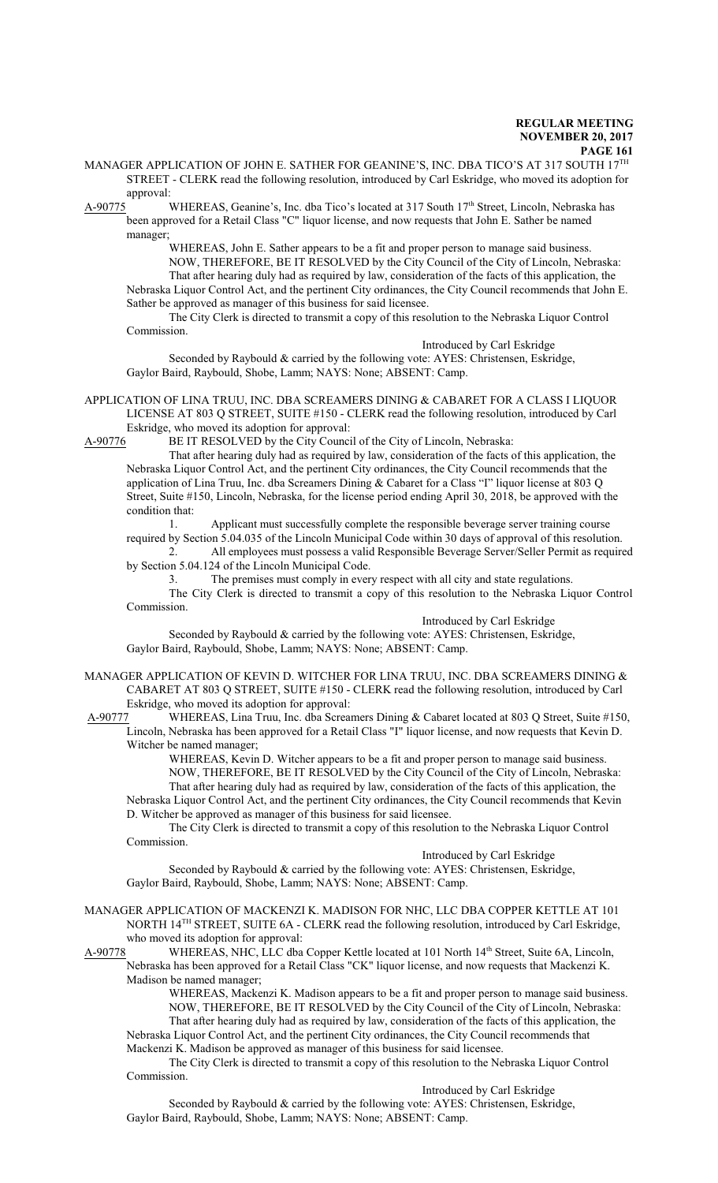MANAGER APPLICATION OF JOHN E. SATHER FOR GEANINE'S, INC. DBA TICO'S AT 317 SOUTH 17 $^{\text{TH}}$ STREET - CLERK read the following resolution, introduced by Carl Eskridge, who moved its adoption for

approval:<br>A-90775 A-90775 WHEREAS, Geanine's, Inc. dba Tico's located at 317 South 17<sup>th</sup> Street, Lincoln, Nebraska has been approved for a Retail Class "C" liquor license, and now requests that John E. Sather be named manager;

> WHEREAS, John E. Sather appears to be a fit and proper person to manage said business. NOW, THEREFORE, BE IT RESOLVED by the City Council of the City of Lincoln, Nebraska: That after hearing duly had as required by law, consideration of the facts of this application, the

Nebraska Liquor Control Act, and the pertinent City ordinances, the City Council recommends that John E. Sather be approved as manager of this business for said licensee.

The City Clerk is directed to transmit a copy of this resolution to the Nebraska Liquor Control Commission.

Introduced by Carl Eskridge

Seconded by Raybould & carried by the following vote: AYES: Christensen, Eskridge, Gaylor Baird, Raybould, Shobe, Lamm; NAYS: None; ABSENT: Camp.

APPLICATION OF LINA TRUU, INC. DBA SCREAMERS DINING & CABARET FOR A CLASS I LIQUOR LICENSE AT 803 Q STREET, SUITE #150 - CLERK read the following resolution, introduced by Carl Eskridge, who moved its adoption for approval:

A-90776 BE IT RESOLVED by the City Council of the City of Lincoln, Nebraska:

That after hearing duly had as required by law, consideration of the facts of this application, the Nebraska Liquor Control Act, and the pertinent City ordinances, the City Council recommends that the application of Lina Truu, Inc. dba Screamers Dining & Cabaret for a Class "I" liquor license at 803 Q Street, Suite #150, Lincoln, Nebraska, for the license period ending April 30, 2018, be approved with the condition that:

1. Applicant must successfully complete the responsible beverage server training course required by Section 5.04.035 of the Lincoln Municipal Code within 30 days of approval of this resolution.

2. All employees must possess a valid Responsible Beverage Server/Seller Permit as required by Section 5.04.124 of the Lincoln Municipal Code.

3. The premises must comply in every respect with all city and state regulations.

The City Clerk is directed to transmit a copy of this resolution to the Nebraska Liquor Control Commission.

Introduced by Carl Eskridge Seconded by Raybould & carried by the following vote: AYES: Christensen, Eskridge, Gaylor Baird, Raybould, Shobe, Lamm; NAYS: None; ABSENT: Camp.

MANAGER APPLICATION OF KEVIN D. WITCHER FOR LINA TRUU, INC. DBA SCREAMERS DINING  $\&$ CABARET AT 803 Q STREET, SUITE #150 - CLERK read the following resolution, introduced by Carl Eskridge, who moved its adoption for approval:

 A-90777 WHEREAS, Lina Truu, Inc. dba Screamers Dining & Cabaret located at 803 Q Street, Suite #150, Lincoln, Nebraska has been approved for a Retail Class "I" liquor license, and now requests that Kevin D. Witcher be named manager;

WHEREAS, Kevin D. Witcher appears to be a fit and proper person to manage said business. NOW, THEREFORE, BE IT RESOLVED by the City Council of the City of Lincoln, Nebraska: That after hearing duly had as required by law, consideration of the facts of this application, the Nebraska Liquor Control Act, and the pertinent City ordinances, the City Council recommends that Kevin D. Witcher be approved as manager of this business for said licensee.

The City Clerk is directed to transmit a copy of this resolution to the Nebraska Liquor Control Commission.

# Introduced by Carl Eskridge

Seconded by Raybould & carried by the following vote: AYES: Christensen, Eskridge, Gaylor Baird, Raybould, Shobe, Lamm; NAYS: None; ABSENT: Camp.

MANAGER APPLICATION OF MACKENZI K. MADISON FOR NHC, LLC DBA COPPER KETTLE AT 101 NORTH 14<sup>TH</sup> STREET, SUITE 6A - CLERK read the following resolution, introduced by Carl Eskridge, who moved its adoption for approval:

A-90778 WHEREAS, NHC, LLC dba Copper Kettle located at 101 North 14<sup>th</sup> Street, Suite 6A, Lincoln, Nebraska has been approved for a Retail Class "CK" liquor license, and now requests that Mackenzi K. Madison be named manager;

WHEREAS, Mackenzi K. Madison appears to be a fit and proper person to manage said business. NOW, THEREFORE, BE IT RESOLVED by the City Council of the City of Lincoln, Nebraska: That after hearing duly had as required by law, consideration of the facts of this application, the

Nebraska Liquor Control Act, and the pertinent City ordinances, the City Council recommends that Mackenzi K. Madison be approved as manager of this business for said licensee.

The City Clerk is directed to transmit a copy of this resolution to the Nebraska Liquor Control Commission.

Introduced by Carl Eskridge

Seconded by Raybould & carried by the following vote: AYES: Christensen, Eskridge, Gaylor Baird, Raybould, Shobe, Lamm; NAYS: None; ABSENT: Camp.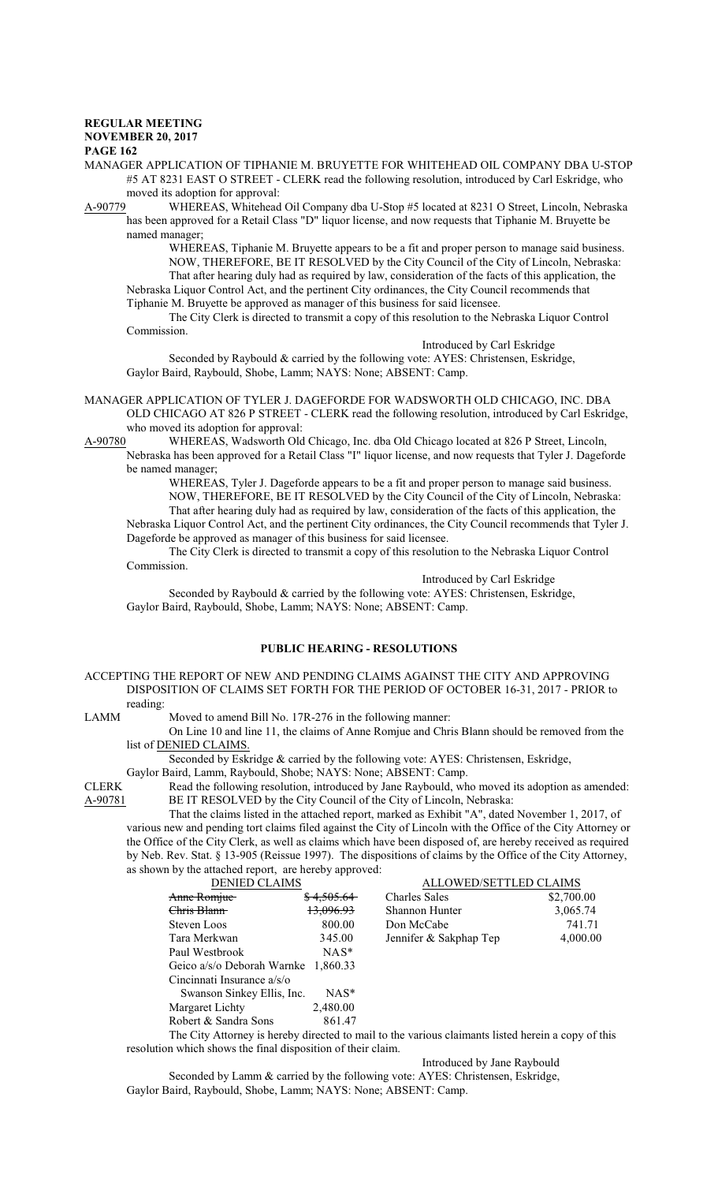# **REGULAR MEETING NOVEMBER 20, 2017**

# **PAGE 162**

MANAGER APPLICATION OF TIPHANIE M. BRUYETTE FOR WHITEHEAD OIL COMPANY DBA U-STOP #5 AT 8231 EAST O STREET - CLERK read the following resolution, introduced by Carl Eskridge, who moved its adoption for approval:<br>A-90779 WHEREAS, Whitehead

WHEREAS, Whitehead Oil Company dba U-Stop #5 located at 8231 O Street, Lincoln, Nebraska has been approved for a Retail Class "D" liquor license, and now requests that Tiphanie M. Bruyette be named manager;

WHEREAS, Tiphanie M. Bruyette appears to be a fit and proper person to manage said business. NOW, THEREFORE, BE IT RESOLVED by the City Council of the City of Lincoln, Nebraska: That after hearing duly had as required by law, consideration of the facts of this application, the Nebraska Liquor Control Act, and the pertinent City ordinances, the City Council recommends that

Tiphanie M. Bruyette be approved as manager of this business for said licensee.

The City Clerk is directed to transmit a copy of this resolution to the Nebraska Liquor Control Commission.

Introduced by Carl Eskridge

Seconded by Raybould & carried by the following vote: AYES: Christensen, Eskridge, Gaylor Baird, Raybould, Shobe, Lamm; NAYS: None; ABSENT: Camp.

MANAGER APPLICATION OF TYLER J. DAGEFORDE FOR WADSWORTH OLD CHICAGO, INC. DBA OLD CHICAGO AT 826 P STREET - CLERK read the following resolution, introduced by Carl Eskridge, who moved its adoption for approval:

A-90780 WHEREAS, Wadsworth Old Chicago, Inc. dba Old Chicago located at 826 P Street, Lincoln, Nebraska has been approved for a Retail Class "I" liquor license, and now requests that Tyler J. Dageforde be named manager;

WHEREAS, Tyler J. Dageforde appears to be a fit and proper person to manage said business. NOW, THEREFORE, BE IT RESOLVED by the City Council of the City of Lincoln, Nebraska: That after hearing duly had as required by law, consideration of the facts of this application, the Nebraska Liquor Control Act, and the pertinent City ordinances, the City Council recommends that Tyler J. Dageforde be approved as manager of this business for said licensee.

The City Clerk is directed to transmit a copy of this resolution to the Nebraska Liquor Control Commission.

Introduced by Carl Eskridge

Seconded by Raybould & carried by the following vote: AYES: Christensen, Eskridge, Gaylor Baird, Raybould, Shobe, Lamm; NAYS: None; ABSENT: Camp.

# **PUBLIC HEARING - RESOLUTIONS**

ACCEPTING THE REPORT OF NEW AND PENDING CLAIMS AGAINST THE CITY AND APPROVING DISPOSITION OF CLAIMS SET FORTH FOR THE PERIOD OF OCTOBER 16-31, 2017 - PRIOR to reading:

LAMM Moved to amend Bill No. 17R-276 in the following manner:

On Line 10 and line 11, the claims of Anne Romjue and Chris Blann should be removed from the list of DENIED CLAIMS.

Seconded by Eskridge & carried by the following vote: AYES: Christensen, Eskridge,

Gaylor Baird, Lamm, Raybould, Shobe; NAYS: None; ABSENT: Camp.

CLERK Read the following resolution, introduced by Jane Raybould, who moved its adoption as amended:<br>A-90781 BE IT RESOLVED by the City Council of the City of Lincoln, Nebraska: BE IT RESOLVED by the City Council of the City of Lincoln, Nebraska:

That the claims listed in the attached report, marked as Exhibit "A", dated November 1, 2017, of various new and pending tort claims filed against the City of Lincoln with the Office of the City Attorney or the Office of the City Clerk, as well as claims which have been disposed of, are hereby received as required by Neb. Rev. Stat. § 13-905 (Reissue 1997). The dispositions of claims by the Office of the City Attorney, as shown by the attached report, are hereby approved:

| <b>DENIED CLAIMS</b>                |                       | ALLOWED/SETTLED CLAIMS |            |
|-------------------------------------|-----------------------|------------------------|------------|
| Anne Romjue                         | <del>\$4,505.64</del> | <b>Charles Sales</b>   | \$2,700.00 |
| <del>Chris Blann</del>              | 13,096.93             | Shannon Hunter         | 3,065.74   |
| Steven Loos                         | 800.00                | Don McCabe             | 741.71     |
| Tara Merkwan                        | 345.00                | Jennifer & Sakphap Tep | 4,000.00   |
| Paul Westbrook                      | $NAS^*$               |                        |            |
| Geico a/s/o Deborah Warnke 1,860.33 |                       |                        |            |
| Cincinnati Insurance a/s/o          |                       |                        |            |
| Swanson Sinkey Ellis, Inc.          | $NAS^*$               |                        |            |
| Margaret Lichty                     | 2,480.00              |                        |            |
| Robert & Sandra Sons                | 861.47                |                        |            |
|                                     |                       |                        |            |

The City Attorney is hereby directed to mail to the various claimants listed herein a copy of this resolution which shows the final disposition of their claim.

Introduced by Jane Raybould

Seconded by Lamm & carried by the following vote: AYES: Christensen, Eskridge, Gaylor Baird, Raybould, Shobe, Lamm; NAYS: None; ABSENT: Camp.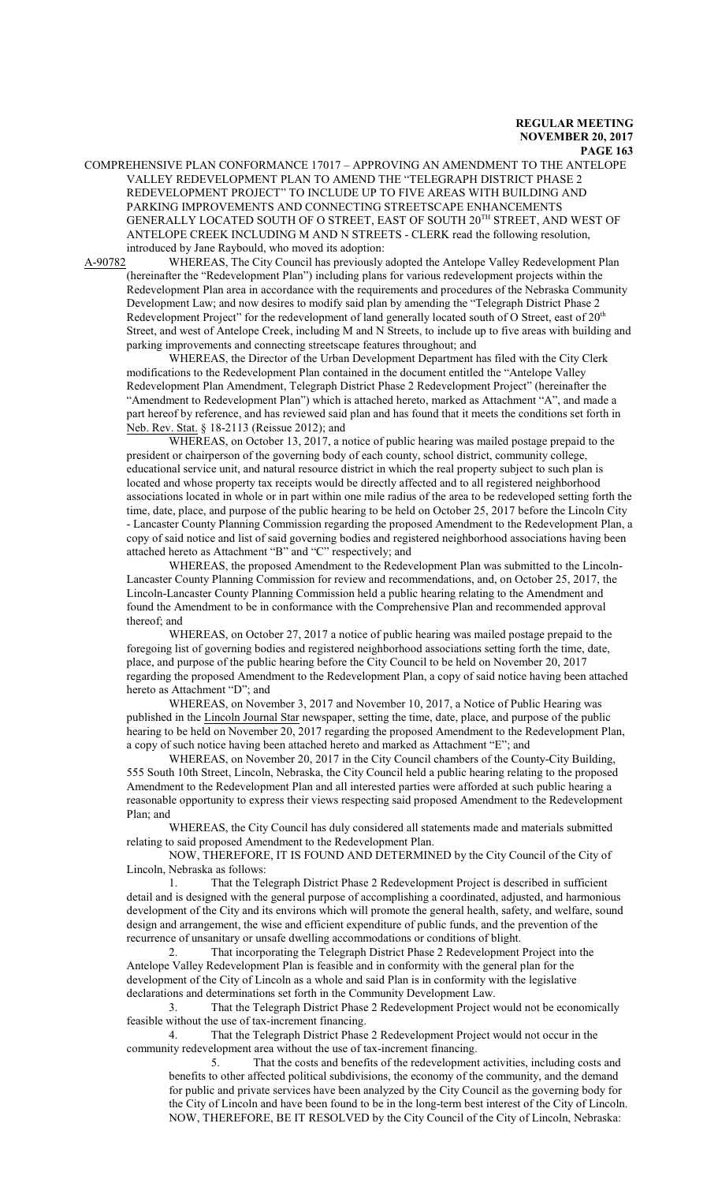COMPREHENSIVE PLAN CONFORMANCE 17017 – APPROVING AN AMENDMENT TO THE ANTELOPE VALLEY REDEVELOPMENT PLAN TO AMEND THE "TELEGRAPH DISTRICT PHASE 2 REDEVELOPMENT PROJECT" TO INCLUDE UP TO FIVE AREAS WITH BUILDING AND PARKING IMPROVEMENTS AND CONNECTING STREETSCAPE ENHANCEMENTS GENERALLY LOCATED SOUTH OF O STREET, EAST OF SOUTH 20 TH STREET, AND WEST OF ANTELOPE CREEK INCLUDING M AND N STREETS - CLERK read the following resolution, introduced by Jane Raybould, who moved its adoption:

A-90782 WHEREAS, The City Council has previously adopted the Antelope Valley Redevelopment Plan (hereinafter the "Redevelopment Plan") including plans for various redevelopment projects within the Redevelopment Plan area in accordance with the requirements and procedures of the Nebraska Community Development Law; and now desires to modify said plan by amending the "Telegraph District Phase 2 Redevelopment Project" for the redevelopment of land generally located south of O Street, east of  $20^{\text{th}}$ Street, and west of Antelope Creek, including M and N Streets, to include up to five areas with building and parking improvements and connecting streetscape features throughout; and

WHEREAS, the Director of the Urban Development Department has filed with the City Clerk modifications to the Redevelopment Plan contained in the document entitled the "Antelope Valley Redevelopment Plan Amendment, Telegraph District Phase 2 Redevelopment Project" (hereinafter the "Amendment to Redevelopment Plan") which is attached hereto, marked as Attachment "A", and made a part hereof by reference, and has reviewed said plan and has found that it meets the conditions set forth in Neb. Rev. Stat. § 18-2113 (Reissue 2012); and

WHEREAS, on October 13, 2017, a notice of public hearing was mailed postage prepaid to the president or chairperson of the governing body of each county, school district, community college, educational service unit, and natural resource district in which the real property subject to such plan is located and whose property tax receipts would be directly affected and to all registered neighborhood associations located in whole or in part within one mile radius of the area to be redeveloped setting forth the time, date, place, and purpose of the public hearing to be held on October 25, 2017 before the Lincoln City - Lancaster County Planning Commission regarding the proposed Amendment to the Redevelopment Plan, a copy of said notice and list of said governing bodies and registered neighborhood associations having been attached hereto as Attachment "B" and "C" respectively; and

WHEREAS, the proposed Amendment to the Redevelopment Plan was submitted to the Lincoln-Lancaster County Planning Commission for review and recommendations, and, on October 25, 2017, the Lincoln-Lancaster County Planning Commission held a public hearing relating to the Amendment and found the Amendment to be in conformance with the Comprehensive Plan and recommended approval thereof; and

WHEREAS, on October 27, 2017 a notice of public hearing was mailed postage prepaid to the foregoing list of governing bodies and registered neighborhood associations setting forth the time, date, place, and purpose of the public hearing before the City Council to be held on November 20, 2017 regarding the proposed Amendment to the Redevelopment Plan, a copy of said notice having been attached hereto as Attachment "D"; and

WHEREAS, on November 3, 2017 and November 10, 2017, a Notice of Public Hearing was published in the Lincoln Journal Star newspaper, setting the time, date, place, and purpose of the public hearing to be held on November 20, 2017 regarding the proposed Amendment to the Redevelopment Plan, a copy of such notice having been attached hereto and marked as Attachment "E"; and

WHEREAS, on November 20, 2017 in the City Council chambers of the County-City Building, 555 South 10th Street, Lincoln, Nebraska, the City Council held a public hearing relating to the proposed Amendment to the Redevelopment Plan and all interested parties were afforded at such public hearing a reasonable opportunity to express their views respecting said proposed Amendment to the Redevelopment Plan; and

WHEREAS, the City Council has duly considered all statements made and materials submitted relating to said proposed Amendment to the Redevelopment Plan.

NOW, THEREFORE, IT IS FOUND AND DETERMINED by the City Council of the City of Lincoln, Nebraska as follows:

1. That the Telegraph District Phase 2 Redevelopment Project is described in sufficient detail and is designed with the general purpose of accomplishing a coordinated, adjusted, and harmonious development of the City and its environs which will promote the general health, safety, and welfare, sound design and arrangement, the wise and efficient expenditure of public funds, and the prevention of the recurrence of unsanitary or unsafe dwelling accommodations or conditions of blight.

2. That incorporating the Telegraph District Phase 2 Redevelopment Project into the Antelope Valley Redevelopment Plan is feasible and in conformity with the general plan for the development of the City of Lincoln as a whole and said Plan is in conformity with the legislative declarations and determinations set forth in the Community Development Law.

3. That the Telegraph District Phase 2 Redevelopment Project would not be economically feasible without the use of tax-increment financing.

4. That the Telegraph District Phase 2 Redevelopment Project would not occur in the community redevelopment area without the use of tax-increment financing.

5. That the costs and benefits of the redevelopment activities, including costs and benefits to other affected political subdivisions, the economy of the community, and the demand for public and private services have been analyzed by the City Council as the governing body for the City of Lincoln and have been found to be in the long-term best interest of the City of Lincoln. NOW, THEREFORE, BE IT RESOLVED by the City Council of the City of Lincoln, Nebraska: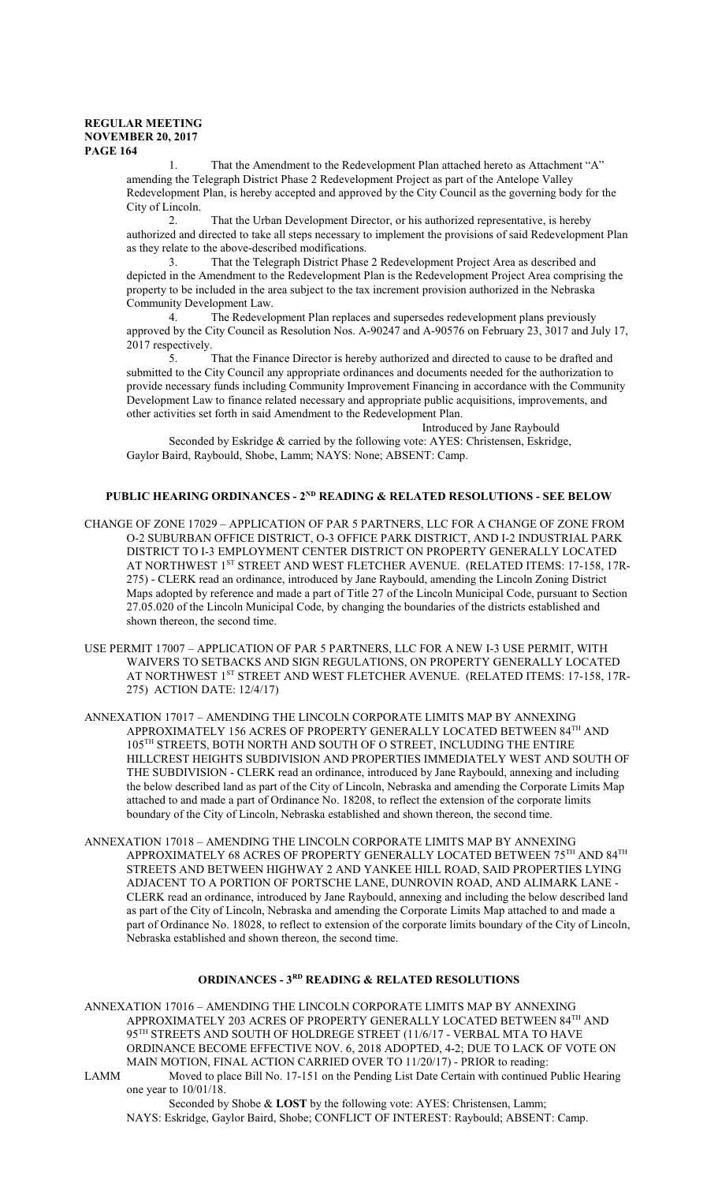That the Amendment to the Redevelopment Plan attached hereto as Attachment "A" amending the Telegraph District Phase 2 Redevelopment Project as part of the Antelope Valley Redevelopment Plan, is hereby accepted and approved by the City Council as the governing body for the City of Lincoln.

That the Urban Development Director, or his authorized representative, is hereby authorized and directed to take all steps necessary to implement the provisions of said Redevelopment Plan as they relate to the above-described modifications.

3. That the Telegraph District Phase 2 Redevelopment Project Area as described and depicted in the Amendment to the Redevelopment Plan is the Redevelopment Project Area comprising the property to be included in the area subject to the tax increment provision authorized in the Nebraska Community Development Law.<br>4. The Redevelo

The Redevelopment Plan replaces and supersedes redevelopment plans previously approved by the City Council as Resolution Nos. A-90247 and A-90576 on February 23, 3017 and July 17, 2017 respectively.<br> $\frac{5}{1}$ .

That the Finance Director is hereby authorized and directed to cause to be drafted and submitted to the City Council any appropriate ordinances and documents needed for the authorization to provide necessary funds including Community Improvement Financing in accordance with the Community Development Law to finance related necessary and appropriate public acquisitions, improvements, and other activities set forth in said Amendment to the Redevelopment Plan.

Introduced by Jane Raybould

Seconded by Eskridge & carried by the following vote: AYES: Christensen, Eskridge, Gaylor Baird, Raybould, Shobe, Lamm; NAYS: None; ABSENT: Camp.

## **PUBLIC HEARING ORDINANCES - 2ND READING & RELATED RESOLUTIONS - SEE BELOW**

- CHANGE OF ZONE 17029 APPLICATION OF PAR 5 PARTNERS, LLC FOR A CHANGE OF ZONE FROM O-2 SUBURBAN OFFICE DISTRICT, O-3 OFFICE PARK DISTRICT, AND I-2 INDUSTRIAL PARK DISTRICT TO I-3 EMPLOYMENT CENTER DISTRICT ON PROPERTY GENERALLY LOCATED AT NORTHWEST 1ST STREET AND WEST FLETCHER AVENUE. (RELATED ITEMS: 17-158, 17R-275) - CLERK read an ordinance, introduced by Jane Raybould, amending the Lincoln Zoning District Maps adopted by reference and made a part of Title 27 of the Lincoln Municipal Code, pursuant to Section 27.05.020 of the Lincoln Municipal Code, by changing the boundaries of the districts established and shown thereon, the second time.
- USE PERMIT 17007 APPLICATION OF PAR 5 PARTNERS, LLC FOR A NEW I-3 USE PERMIT, WITH WAIVERS TO SETBACKS AND SIGN REGULATIONS, ON PROPERTY GENERALLY LOCATED AT NORTHWEST 1<sup>ST</sup> STREET AND WEST FLETCHER AVENUE. (RELATED ITEMS: 17-158, 17R-275) ACTION DATE: 12/4/17)
- ANNEXATION 17017 AMENDING THE LINCOLN CORPORATE LIMITS MAP BY ANNEXING APPROXIMATELY 156 ACRES OF PROPERTY GENERALLY LOCATED BETWEEN 84TH AND 105 TH STREETS, BOTH NORTH AND SOUTH OF O STREET, INCLUDING THE ENTIRE HILLCREST HEIGHTS SUBDIVISION AND PROPERTIES IMMEDIATELY WEST AND SOUTH OF THE SUBDIVISION - CLERK read an ordinance, introduced by Jane Raybould, annexing and including the below described land as part of the City of Lincoln, Nebraska and amending the Corporate Limits Map attached to and made a part of Ordinance No. 18208, to reflect the extension of the corporate limits boundary of the City of Lincoln, Nebraska established and shown thereon, the second time.
- ANNEXATION 17018 AMENDING THE LINCOLN CORPORATE LIMITS MAP BY ANNEXING APPROXIMATELY 68 ACRES OF PROPERTY GENERALLY LOCATED BETWEEN  $75^{\text{TH}}$  AND  $84^{\text{TH}}$ STREETS AND BETWEEN HIGHWAY 2 AND YANKEE HILL ROAD, SAID PROPERTIES LYING ADJACENT TO A PORTION OF PORTSCHE LANE, DUNROVIN ROAD, AND ALIMARK LANE - CLERK read an ordinance, introduced by Jane Raybould, annexing and including the below described land as part of the City of Lincoln, Nebraska and amending the Corporate Limits Map attached to and made a part of Ordinance No. 18028, to reflect to extension of the corporate limits boundary of the City of Lincoln, Nebraska established and shown thereon, the second time.

# **ORDINANCES - 3RD READING & RELATED RESOLUTIONS**

ANNEXATION 17016 – AMENDING THE LINCOLN CORPORATE LIMITS MAP BY ANNEXING APPROXIMATELY 203 ACRES OF PROPERTY GENERALLY LOCATED BETWEEN  $84^{\text{\tiny{TH}}}$  AND 95 TH STREETS AND SOUTH OF HOLDREGE STREET (11/6/17 - VERBAL MTA TO HAVE ORDINANCE BECOME EFFECTIVE NOV. 6, 2018 ADOPTED, 4-2; DUE TO LACK OF VOTE ON MAIN MOTION, FINAL ACTION CARRIED OVER TO 11/20/17) - PRIOR to reading: LAMM Moved to place Bill No. 17-151 on the Pending List Date Certain with continued Public Hearing one year to 10/01/18.

Seconded by Shobe & **LOST** by the following vote: AYES: Christensen, Lamm; NAYS: Eskridge, Gaylor Baird, Shobe; CONFLICT OF INTEREST: Raybould; ABSENT: Camp.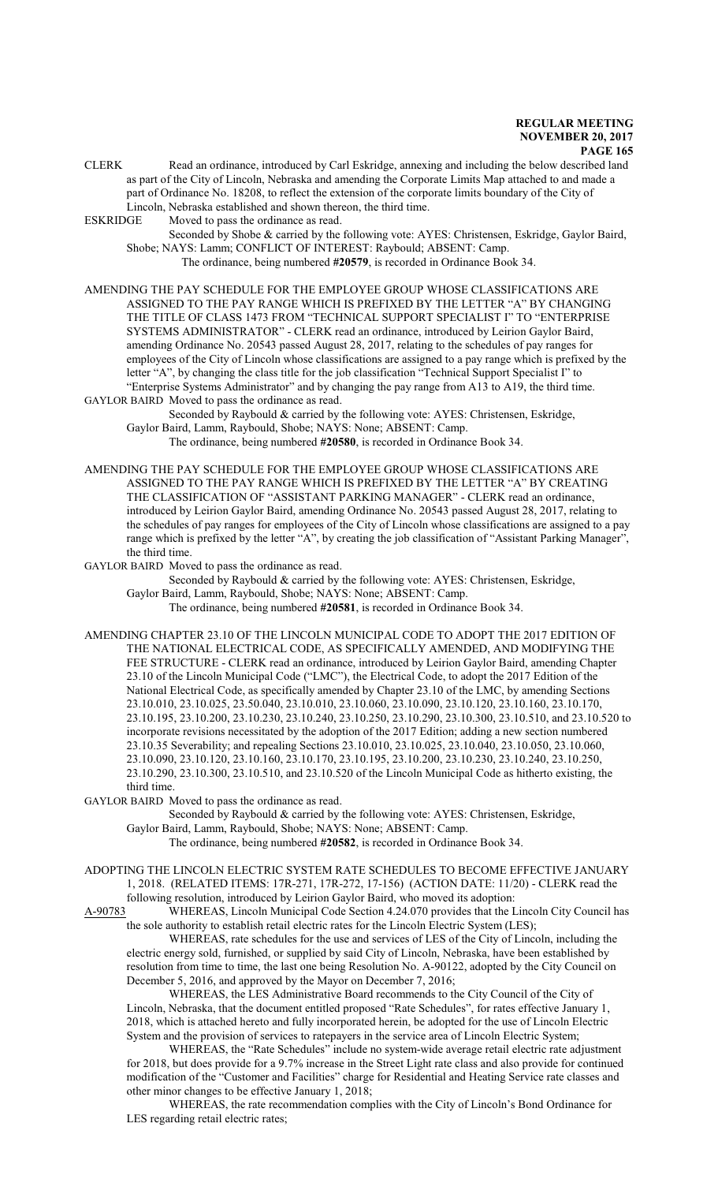CLERK Read an ordinance, introduced by Carl Eskridge, annexing and including the below described land as part of the City of Lincoln, Nebraska and amending the Corporate Limits Map attached to and made a part of Ordinance No. 18208, to reflect the extension of the corporate limits boundary of the City of Lincoln, Nebraska established and shown thereon, the third time.

ESKRIDGE Moved to pass the ordinance as read.

Seconded by Shobe & carried by the following vote: AYES: Christensen, Eskridge, Gaylor Baird, Shobe; NAYS: Lamm; CONFLICT OF INTEREST: Raybould; ABSENT: Camp. The ordinance, being numbered **#20579**, is recorded in Ordinance Book 34.

AMENDING THE PAY SCHEDULE FOR THE EMPLOYEE GROUP WHOSE CLASSIFICATIONS ARE ASSIGNED TO THE PAY RANGE WHICH IS PREFIXED BY THE LETTER "A" BY CHANGING THE TITLE OF CLASS 1473 FROM "TECHNICAL SUPPORT SPECIALIST I" TO "ENTERPRISE SYSTEMS ADMINISTRATOR" - CLERK read an ordinance, introduced by Leirion Gaylor Baird, amending Ordinance No. 20543 passed August 28, 2017, relating to the schedules of pay ranges for employees of the City of Lincoln whose classifications are assigned to a pay range which is prefixed by the letter "A", by changing the class title for the job classification "Technical Support Specialist I" to "Enterprise Systems Administrator" and by changing the pay range from A13 to A19, the third time. GAYLOR BAIRD Moved to pass the ordinance as read.

Seconded by Raybould & carried by the following vote: AYES: Christensen, Eskridge, Gaylor Baird, Lamm, Raybould, Shobe; NAYS: None; ABSENT: Camp.

The ordinance, being numbered **#20580**, is recorded in Ordinance Book 34.

AMENDING THE PAY SCHEDULE FOR THE EMPLOYEE GROUP WHOSE CLASSIFICATIONS ARE ASSIGNED TO THE PAY RANGE WHICH IS PREFIXED BY THE LETTER "A" BY CREATING THE CLASSIFICATION OF "ASSISTANT PARKING MANAGER" - CLERK read an ordinance, introduced by Leirion Gaylor Baird, amending Ordinance No. 20543 passed August 28, 2017, relating to the schedules of pay ranges for employees of the City of Lincoln whose classifications are assigned to a pay range which is prefixed by the letter "A", by creating the job classification of "Assistant Parking Manager", the third time.

GAYLOR BAIRD Moved to pass the ordinance as read.

Seconded by Raybould & carried by the following vote: AYES: Christensen, Eskridge, Gaylor Baird, Lamm, Raybould, Shobe; NAYS: None; ABSENT: Camp.

The ordinance, being numbered **#20581**, is recorded in Ordinance Book 34.

AMENDING CHAPTER 23.10 OF THE LINCOLN MUNICIPAL CODE TO ADOPT THE 2017 EDITION OF THE NATIONAL ELECTRICAL CODE, AS SPECIFICALLY AMENDED, AND MODIFYING THE FEE STRUCTURE - CLERK read an ordinance, introduced by Leirion Gaylor Baird, amending Chapter 23.10 of the Lincoln Municipal Code ("LMC"), the Electrical Code, to adopt the 2017 Edition of the National Electrical Code, as specifically amended by Chapter 23.10 of the LMC, by amending Sections 23.10.010, 23.10.025, 23.50.040, 23.10.010, 23.10.060, 23.10.090, 23.10.120, 23.10.160, 23.10.170, 23.10.195, 23.10.200, 23.10.230, 23.10.240, 23.10.250, 23.10.290, 23.10.300, 23.10.510, and 23.10.520 to incorporate revisions necessitated by the adoption of the 2017 Edition; adding a new section numbered 23.10.35 Severability; and repealing Sections 23.10.010, 23.10.025, 23.10.040, 23.10.050, 23.10.060, 23.10.090, 23.10.120, 23.10.160, 23.10.170, 23.10.195, 23.10.200, 23.10.230, 23.10.240, 23.10.250, 23.10.290, 23.10.300, 23.10.510, and 23.10.520 of the Lincoln Municipal Code as hitherto existing, the third time.

GAYLOR BAIRD Moved to pass the ordinance as read.

Seconded by Raybould & carried by the following vote: AYES: Christensen, Eskridge, Gaylor Baird, Lamm, Raybould, Shobe; NAYS: None; ABSENT: Camp.

The ordinance, being numbered **#20582**, is recorded in Ordinance Book 34.

ADOPTING THE LINCOLN ELECTRIC SYSTEM RATE SCHEDULES TO BECOME EFFECTIVE JANUARY 1, 2018. (RELATED ITEMS: 17R-271, 17R-272, 17-156) (ACTION DATE: 11/20) - CLERK read the following resolution, introduced by Leirion Gaylor Baird, who moved its adoption:

A-90783 WHEREAS, Lincoln Municipal Code Section 4.24.070 provides that the Lincoln City Council has the sole authority to establish retail electric rates for the Lincoln Electric System (LES);

WHEREAS, rate schedules for the use and services of LES of the City of Lincoln, including the electric energy sold, furnished, or supplied by said City of Lincoln, Nebraska, have been established by resolution from time to time, the last one being Resolution No. A-90122, adopted by the City Council on December 5, 2016, and approved by the Mayor on December 7, 2016;

WHEREAS, the LES Administrative Board recommends to the City Council of the City of Lincoln, Nebraska, that the document entitled proposed "Rate Schedules", for rates effective January 1, 2018, which is attached hereto and fully incorporated herein, be adopted for the use of Lincoln Electric System and the provision of services to ratepayers in the service area of Lincoln Electric System;

WHEREAS, the "Rate Schedules" include no system-wide average retail electric rate adjustment for 2018, but does provide for a 9.7% increase in the Street Light rate class and also provide for continued modification of the "Customer and Facilities" charge for Residential and Heating Service rate classes and other minor changes to be effective January 1, 2018;

WHEREAS, the rate recommendation complies with the City of Lincoln's Bond Ordinance for LES regarding retail electric rates;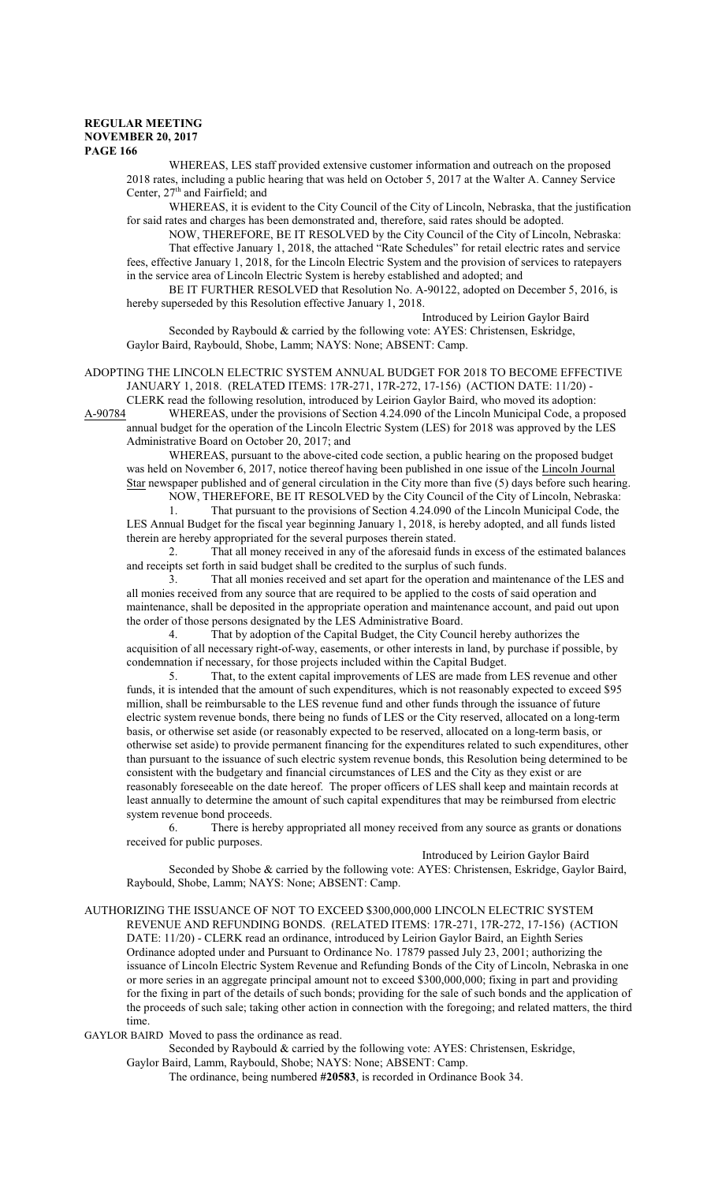WHEREAS, LES staff provided extensive customer information and outreach on the proposed 2018 rates, including a public hearing that was held on October 5, 2017 at the Walter A. Canney Service Center, 27<sup>th</sup> and Fairfield; and

WHEREAS, it is evident to the City Council of the City of Lincoln, Nebraska, that the justification for said rates and charges has been demonstrated and, therefore, said rates should be adopted.

NOW, THEREFORE, BE IT RESOLVED by the City Council of the City of Lincoln, Nebraska: That effective January 1, 2018, the attached "Rate Schedules" for retail electric rates and service fees, effective January 1, 2018, for the Lincoln Electric System and the provision of services to ratepayers in the service area of Lincoln Electric System is hereby established and adopted; and

BE IT FURTHER RESOLVED that Resolution No. A-90122, adopted on December 5, 2016, is hereby superseded by this Resolution effective January 1, 2018.

Introduced by Leirion Gaylor Baird

Seconded by Raybould & carried by the following vote: AYES: Christensen, Eskridge, Gaylor Baird, Raybould, Shobe, Lamm; NAYS: None; ABSENT: Camp.

ADOPTING THE LINCOLN ELECTRIC SYSTEM ANNUAL BUDGET FOR 2018 TO BECOME EFFECTIVE JANUARY 1, 2018. (RELATED ITEMS: 17R-271, 17R-272, 17-156) (ACTION DATE: 11/20) -

CLERK read the following resolution, introduced by Leirion Gaylor Baird, who moved its adoption:<br>A-90784 WHEREAS, under the provisions of Section 4.24.090 of the Lincoln Municipal Code, a pro WHEREAS, under the provisions of Section 4.24.090 of the Lincoln Municipal Code, a proposed annual budget for the operation of the Lincoln Electric System (LES) for 2018 was approved by the LES Administrative Board on October 20, 2017; and

WHEREAS, pursuant to the above-cited code section, a public hearing on the proposed budget was held on November 6, 2017, notice thereof having been published in one issue of the Lincoln Journal Star newspaper published and of general circulation in the City more than five (5) days before such hearing. NOW, THEREFORE, BE IT RESOLVED by the City Council of the City of Lincoln, Nebraska:

1. That pursuant to the provisions of Section 4.24.090 of the Lincoln Municipal Code, the LES Annual Budget for the fiscal year beginning January 1, 2018, is hereby adopted, and all funds listed therein are hereby appropriated for the several purposes therein stated.

2. That all money received in any of the aforesaid funds in excess of the estimated balances and receipts set forth in said budget shall be credited to the surplus of such funds.

3. That all monies received and set apart for the operation and maintenance of the LES and all monies received from any source that are required to be applied to the costs of said operation and maintenance, shall be deposited in the appropriate operation and maintenance account, and paid out upon the order of those persons designated by the LES Administrative Board.

4. That by adoption of the Capital Budget, the City Council hereby authorizes the acquisition of all necessary right-of-way, easements, or other interests in land, by purchase if possible, by condemnation if necessary, for those projects included within the Capital Budget.

5. That, to the extent capital improvements of LES are made from LES revenue and other funds, it is intended that the amount of such expenditures, which is not reasonably expected to exceed \$95 million, shall be reimbursable to the LES revenue fund and other funds through the issuance of future electric system revenue bonds, there being no funds of LES or the City reserved, allocated on a long-term basis, or otherwise set aside (or reasonably expected to be reserved, allocated on a long-term basis, or otherwise set aside) to provide permanent financing for the expenditures related to such expenditures, other than pursuant to the issuance of such electric system revenue bonds, this Resolution being determined to be consistent with the budgetary and financial circumstances of LES and the City as they exist or are reasonably foreseeable on the date hereof. The proper officers of LES shall keep and maintain records at least annually to determine the amount of such capital expenditures that may be reimbursed from electric system revenue bond proceeds.

6. There is hereby appropriated all money received from any source as grants or donations received for public purposes.

Introduced by Leirion Gaylor Baird

Seconded by Shobe & carried by the following vote: AYES: Christensen, Eskridge, Gaylor Baird, Raybould, Shobe, Lamm; NAYS: None; ABSENT: Camp.

AUTHORIZING THE ISSUANCE OF NOT TO EXCEED \$300,000,000 LINCOLN ELECTRIC SYSTEM REVENUE AND REFUNDING BONDS. (RELATED ITEMS: 17R-271, 17R-272, 17-156) (ACTION DATE: 11/20) - CLERK read an ordinance, introduced by Leirion Gaylor Baird, an Eighth Series Ordinance adopted under and Pursuant to Ordinance No. 17879 passed July 23, 2001; authorizing the issuance of Lincoln Electric System Revenue and Refunding Bonds of the City of Lincoln, Nebraska in one or more series in an aggregate principal amount not to exceed \$300,000,000; fixing in part and providing for the fixing in part of the details of such bonds; providing for the sale of such bonds and the application of the proceeds of such sale; taking other action in connection with the foregoing; and related matters, the third time.

GAYLOR BAIRD Moved to pass the ordinance as read.

Seconded by Raybould & carried by the following vote: AYES: Christensen, Eskridge,

Gaylor Baird, Lamm, Raybould, Shobe; NAYS: None; ABSENT: Camp.

The ordinance, being numbered **#20583**, is recorded in Ordinance Book 34.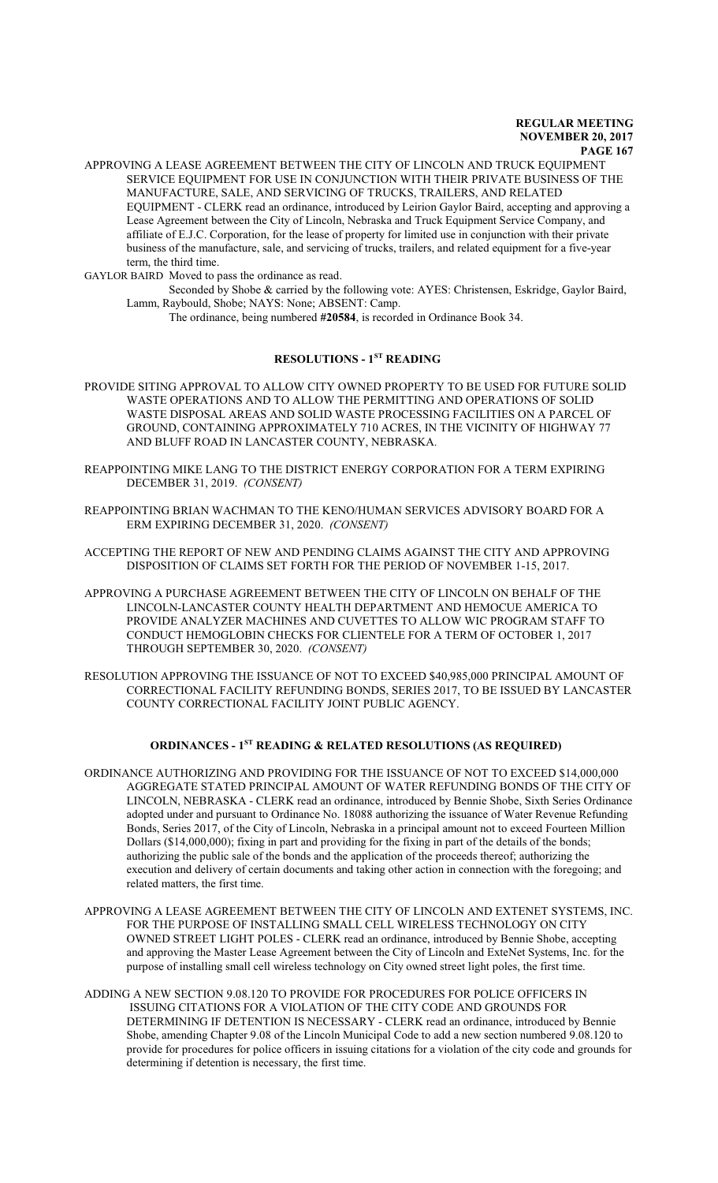APPROVING A LEASE AGREEMENT BETWEEN THE CITY OF LINCOLN AND TRUCK EQUIPMENT SERVICE EQUIPMENT FOR USE IN CONJUNCTION WITH THEIR PRIVATE BUSINESS OF THE MANUFACTURE, SALE, AND SERVICING OF TRUCKS, TRAILERS, AND RELATED EQUIPMENT - CLERK read an ordinance, introduced by Leirion Gaylor Baird, accepting and approving a Lease Agreement between the City of Lincoln, Nebraska and Truck Equipment Service Company, and affiliate of E.J.C. Corporation, for the lease of property for limited use in conjunction with their private business of the manufacture, sale, and servicing of trucks, trailers, and related equipment for a five-year term, the third time.

GAYLOR BAIRD Moved to pass the ordinance as read.

Seconded by Shobe & carried by the following vote: AYES: Christensen, Eskridge, Gaylor Baird, Lamm, Raybould, Shobe; NAYS: None; ABSENT: Camp.

The ordinance, being numbered **#20584**, is recorded in Ordinance Book 34.

# **RESOLUTIONS - 1ST READING**

- PROVIDE SITING APPROVAL TO ALLOW CITY OWNED PROPERTY TO BE USED FOR FUTURE SOLID WASTE OPERATIONS AND TO ALLOW THE PERMITTING AND OPERATIONS OF SOLID WASTE DISPOSAL AREAS AND SOLID WASTE PROCESSING FACILITIES ON A PARCEL OF GROUND, CONTAINING APPROXIMATELY 710 ACRES, IN THE VICINITY OF HIGHWAY 77 AND BLUFF ROAD IN LANCASTER COUNTY, NEBRASKA.
- REAPPOINTING MIKE LANG TO THE DISTRICT ENERGY CORPORATION FOR A TERM EXPIRING DECEMBER 31, 2019. *(CONSENT)*
- REAPPOINTING BRIAN WACHMAN TO THE KENO/HUMAN SERVICES ADVISORY BOARD FOR A ERM EXPIRING DECEMBER 31, 2020. *(CONSENT)*
- ACCEPTING THE REPORT OF NEW AND PENDING CLAIMS AGAINST THE CITY AND APPROVING DISPOSITION OF CLAIMS SET FORTH FOR THE PERIOD OF NOVEMBER 1-15, 2017.
- APPROVING A PURCHASE AGREEMENT BETWEEN THE CITY OF LINCOLN ON BEHALF OF THE LINCOLN-LANCASTER COUNTY HEALTH DEPARTMENT AND HEMOCUE AMERICA TO PROVIDE ANALYZER MACHINES AND CUVETTES TO ALLOW WIC PROGRAM STAFF TO CONDUCT HEMOGLOBIN CHECKS FOR CLIENTELE FOR A TERM OF OCTOBER 1, 2017 THROUGH SEPTEMBER 30, 2020. *(CONSENT)*
- RESOLUTION APPROVING THE ISSUANCE OF NOT TO EXCEED \$40,985,000 PRINCIPAL AMOUNT OF CORRECTIONAL FACILITY REFUNDING BONDS, SERIES 2017, TO BE ISSUED BY LANCASTER COUNTY CORRECTIONAL FACILITY JOINT PUBLIC AGENCY.

### **ORDINANCES - 1ST READING & RELATED RESOLUTIONS (AS REQUIRED)**

- ORDINANCE AUTHORIZING AND PROVIDING FOR THE ISSUANCE OF NOT TO EXCEED \$14,000,000 AGGREGATE STATED PRINCIPAL AMOUNT OF WATER REFUNDING BONDS OF THE CITY OF LINCOLN, NEBRASKA - CLERK read an ordinance, introduced by Bennie Shobe, Sixth Series Ordinance adopted under and pursuant to Ordinance No. 18088 authorizing the issuance of Water Revenue Refunding Bonds, Series 2017, of the City of Lincoln, Nebraska in a principal amount not to exceed Fourteen Million Dollars (\$14,000,000); fixing in part and providing for the fixing in part of the details of the bonds; authorizing the public sale of the bonds and the application of the proceeds thereof; authorizing the execution and delivery of certain documents and taking other action in connection with the foregoing; and related matters, the first time.
- APPROVING A LEASE AGREEMENT BETWEEN THE CITY OF LINCOLN AND EXTENET SYSTEMS, INC. FOR THE PURPOSE OF INSTALLING SMALL CELL WIRELESS TECHNOLOGY ON CITY OWNED STREET LIGHT POLES - CLERK read an ordinance, introduced by Bennie Shobe, accepting and approving the Master Lease Agreement between the City of Lincoln and ExteNet Systems, Inc. for the purpose of installing small cell wireless technology on City owned street light poles, the first time.
- ADDING A NEW SECTION 9.08.120 TO PROVIDE FOR PROCEDURES FOR POLICE OFFICERS IN ISSUING CITATIONS FOR A VIOLATION OF THE CITY CODE AND GROUNDS FOR DETERMINING IF DETENTION IS NECESSARY - CLERK read an ordinance, introduced by Bennie Shobe, amending Chapter 9.08 of the Lincoln Municipal Code to add a new section numbered 9.08.120 to provide for procedures for police officers in issuing citations for a violation of the city code and grounds for determining if detention is necessary, the first time.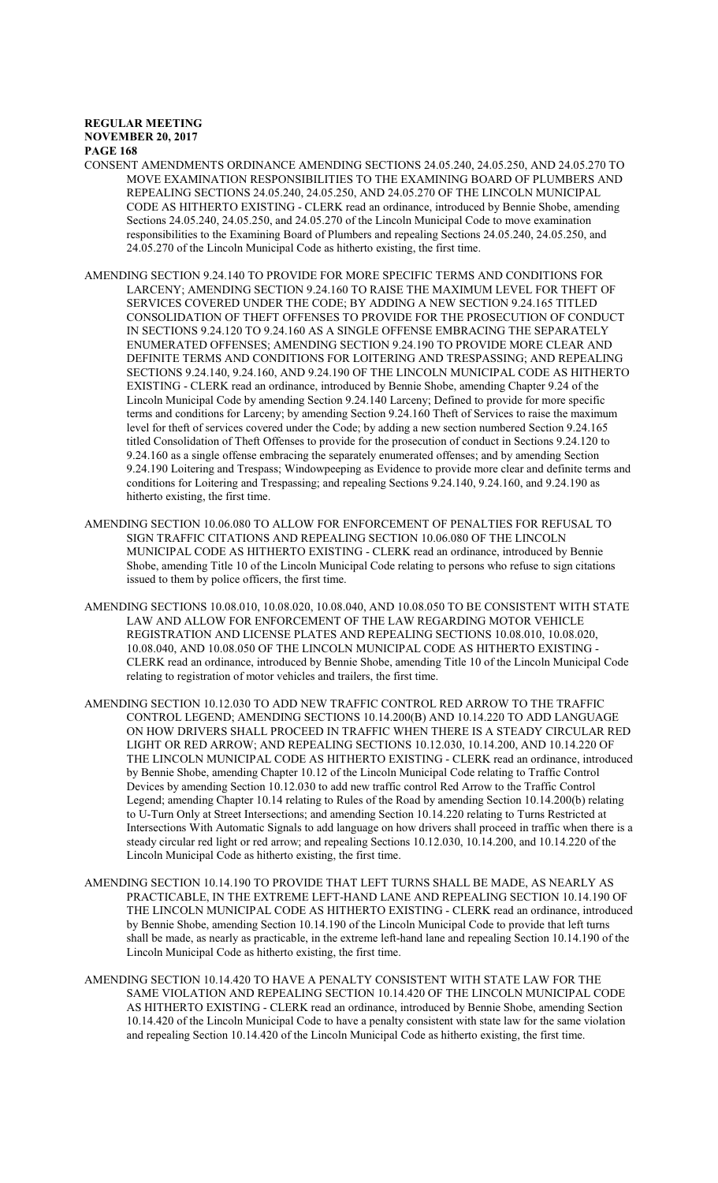- CONSENT AMENDMENTS ORDINANCE AMENDING SECTIONS 24.05.240, 24.05.250, AND 24.05.270 TO MOVE EXAMINATION RESPONSIBILITIES TO THE EXAMINING BOARD OF PLUMBERS AND REPEALING SECTIONS 24.05.240, 24.05.250, AND 24.05.270 OF THE LINCOLN MUNICIPAL CODE AS HITHERTO EXISTING - CLERK read an ordinance, introduced by Bennie Shobe, amending Sections 24.05.240, 24.05.250, and 24.05.270 of the Lincoln Municipal Code to move examination responsibilities to the Examining Board of Plumbers and repealing Sections 24.05.240, 24.05.250, and 24.05.270 of the Lincoln Municipal Code as hitherto existing, the first time.
- AMENDING SECTION 9.24.140 TO PROVIDE FOR MORE SPECIFIC TERMS AND CONDITIONS FOR LARCENY; AMENDING SECTION 9.24.160 TO RAISE THE MAXIMUM LEVEL FOR THEFT OF SERVICES COVERED UNDER THE CODE; BY ADDING A NEW SECTION 9.24.165 TITLED CONSOLIDATION OF THEFT OFFENSES TO PROVIDE FOR THE PROSECUTION OF CONDUCT IN SECTIONS 9.24.120 TO 9.24.160 AS A SINGLE OFFENSE EMBRACING THE SEPARATELY ENUMERATED OFFENSES; AMENDING SECTION 9.24.190 TO PROVIDE MORE CLEAR AND DEFINITE TERMS AND CONDITIONS FOR LOITERING AND TRESPASSING; AND REPEALING SECTIONS 9.24.140, 9.24.160, AND 9.24.190 OF THE LINCOLN MUNICIPAL CODE AS HITHERTO EXISTING - CLERK read an ordinance, introduced by Bennie Shobe, amending Chapter 9.24 of the Lincoln Municipal Code by amending Section 9.24.140 Larceny; Defined to provide for more specific terms and conditions for Larceny; by amending Section 9.24.160 Theft of Services to raise the maximum level for theft of services covered under the Code; by adding a new section numbered Section 9.24.165 titled Consolidation of Theft Offenses to provide for the prosecution of conduct in Sections 9.24.120 to 9.24.160 as a single offense embracing the separately enumerated offenses; and by amending Section 9.24.190 Loitering and Trespass; Windowpeeping as Evidence to provide more clear and definite terms and conditions for Loitering and Trespassing; and repealing Sections 9.24.140, 9.24.160, and 9.24.190 as hitherto existing, the first time.
- AMENDING SECTION 10.06.080 TO ALLOW FOR ENFORCEMENT OF PENALTIES FOR REFUSAL TO SIGN TRAFFIC CITATIONS AND REPEALING SECTION 10.06.080 OF THE LINCOLN MUNICIPAL CODE AS HITHERTO EXISTING - CLERK read an ordinance, introduced by Bennie Shobe, amending Title 10 of the Lincoln Municipal Code relating to persons who refuse to sign citations issued to them by police officers, the first time.
- AMENDING SECTIONS 10.08.010, 10.08.020, 10.08.040, AND 10.08.050 TO BE CONSISTENT WITH STATE LAW AND ALLOW FOR ENFORCEMENT OF THE LAW REGARDING MOTOR VEHICLE REGISTRATION AND LICENSE PLATES AND REPEALING SECTIONS 10.08.010, 10.08.020, 10.08.040, AND 10.08.050 OF THE LINCOLN MUNICIPAL CODE AS HITHERTO EXISTING - CLERK read an ordinance, introduced by Bennie Shobe, amending Title 10 of the Lincoln Municipal Code relating to registration of motor vehicles and trailers, the first time.
- AMENDING SECTION 10.12.030 TO ADD NEW TRAFFIC CONTROL RED ARROW TO THE TRAFFIC CONTROL LEGEND; AMENDING SECTIONS 10.14.200(B) AND 10.14.220 TO ADD LANGUAGE ON HOW DRIVERS SHALL PROCEED IN TRAFFIC WHEN THERE IS A STEADY CIRCULAR RED LIGHT OR RED ARROW; AND REPEALING SECTIONS 10.12.030, 10.14.200, AND 10.14.220 OF THE LINCOLN MUNICIPAL CODE AS HITHERTO EXISTING - CLERK read an ordinance, introduced by Bennie Shobe, amending Chapter 10.12 of the Lincoln Municipal Code relating to Traffic Control Devices by amending Section 10.12.030 to add new traffic control Red Arrow to the Traffic Control Legend; amending Chapter 10.14 relating to Rules of the Road by amending Section 10.14.200(b) relating to U-Turn Only at Street Intersections; and amending Section 10.14.220 relating to Turns Restricted at Intersections With Automatic Signals to add language on how drivers shall proceed in traffic when there is a steady circular red light or red arrow; and repealing Sections 10.12.030, 10.14.200, and 10.14.220 of the Lincoln Municipal Code as hitherto existing, the first time.
- AMENDING SECTION 10.14.190 TO PROVIDE THAT LEFT TURNS SHALL BE MADE, AS NEARLY AS PRACTICABLE, IN THE EXTREME LEFT-HAND LANE AND REPEALING SECTION 10.14.190 OF THE LINCOLN MUNICIPAL CODE AS HITHERTO EXISTING - CLERK read an ordinance, introduced by Bennie Shobe, amending Section 10.14.190 of the Lincoln Municipal Code to provide that left turns shall be made, as nearly as practicable, in the extreme left-hand lane and repealing Section 10.14.190 of the Lincoln Municipal Code as hitherto existing, the first time.
- AMENDING SECTION 10.14.420 TO HAVE A PENALTY CONSISTENT WITH STATE LAW FOR THE SAME VIOLATION AND REPEALING SECTION 10.14.420 OF THE LINCOLN MUNICIPAL CODE AS HITHERTO EXISTING - CLERK read an ordinance, introduced by Bennie Shobe, amending Section 10.14.420 of the Lincoln Municipal Code to have a penalty consistent with state law for the same violation and repealing Section 10.14.420 of the Lincoln Municipal Code as hitherto existing, the first time.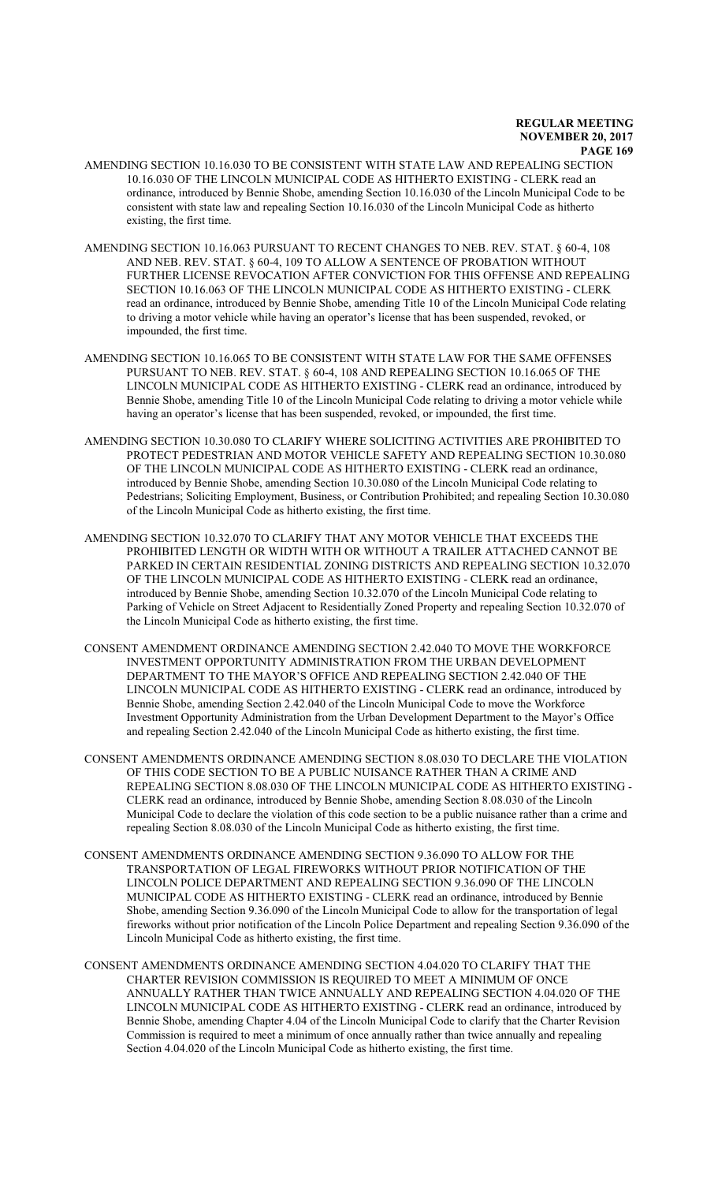- AMENDING SECTION 10.16.030 TO BE CONSISTENT WITH STATE LAW AND REPEALING SECTION 10.16.030 OF THE LINCOLN MUNICIPAL CODE AS HITHERTO EXISTING - CLERK read an ordinance, introduced by Bennie Shobe, amending Section 10.16.030 of the Lincoln Municipal Code to be consistent with state law and repealing Section 10.16.030 of the Lincoln Municipal Code as hitherto existing, the first time.
- AMENDING SECTION 10.16.063 PURSUANT TO RECENT CHANGES TO NEB. REV. STAT. § 60-4, 108 AND NEB. REV. STAT. § 60-4, 109 TO ALLOW A SENTENCE OF PROBATION WITHOUT FURTHER LICENSE REVOCATION AFTER CONVICTION FOR THIS OFFENSE AND REPEALING SECTION 10.16.063 OF THE LINCOLN MUNICIPAL CODE AS HITHERTO EXISTING - CLERK read an ordinance, introduced by Bennie Shobe, amending Title 10 of the Lincoln Municipal Code relating to driving a motor vehicle while having an operator's license that has been suspended, revoked, or impounded, the first time.
- AMENDING SECTION 10.16.065 TO BE CONSISTENT WITH STATE LAW FOR THE SAME OFFENSES PURSUANT TO NEB. REV. STAT. § 60-4, 108 AND REPEALING SECTION 10.16.065 OF THE LINCOLN MUNICIPAL CODE AS HITHERTO EXISTING - CLERK read an ordinance, introduced by Bennie Shobe, amending Title 10 of the Lincoln Municipal Code relating to driving a motor vehicle while having an operator's license that has been suspended, revoked, or impounded, the first time.
- AMENDING SECTION 10.30.080 TO CLARIFY WHERE SOLICITING ACTIVITIES ARE PROHIBITED TO PROTECT PEDESTRIAN AND MOTOR VEHICLE SAFETY AND REPEALING SECTION 10.30.080 OF THE LINCOLN MUNICIPAL CODE AS HITHERTO EXISTING - CLERK read an ordinance, introduced by Bennie Shobe, amending Section 10.30.080 of the Lincoln Municipal Code relating to Pedestrians; Soliciting Employment, Business, or Contribution Prohibited; and repealing Section 10.30.080 of the Lincoln Municipal Code as hitherto existing, the first time.
- AMENDING SECTION 10.32.070 TO CLARIFY THAT ANY MOTOR VEHICLE THAT EXCEEDS THE PROHIBITED LENGTH OR WIDTH WITH OR WITHOUT A TRAILER ATTACHED CANNOT BE PARKED IN CERTAIN RESIDENTIAL ZONING DISTRICTS AND REPEALING SECTION 10.32.070 OF THE LINCOLN MUNICIPAL CODE AS HITHERTO EXISTING - CLERK read an ordinance, introduced by Bennie Shobe, amending Section 10.32.070 of the Lincoln Municipal Code relating to Parking of Vehicle on Street Adjacent to Residentially Zoned Property and repealing Section 10.32.070 of the Lincoln Municipal Code as hitherto existing, the first time.
- CONSENT AMENDMENT ORDINANCE AMENDING SECTION 2.42.040 TO MOVE THE WORKFORCE INVESTMENT OPPORTUNITY ADMINISTRATION FROM THE URBAN DEVELOPMENT DEPARTMENT TO THE MAYOR'S OFFICE AND REPEALING SECTION 2.42.040 OF THE LINCOLN MUNICIPAL CODE AS HITHERTO EXISTING - CLERK read an ordinance, introduced by Bennie Shobe, amending Section 2.42.040 of the Lincoln Municipal Code to move the Workforce Investment Opportunity Administration from the Urban Development Department to the Mayor's Office and repealing Section 2.42.040 of the Lincoln Municipal Code as hitherto existing, the first time.
- CONSENT AMENDMENTS ORDINANCE AMENDING SECTION 8.08.030 TO DECLARE THE VIOLATION OF THIS CODE SECTION TO BE A PUBLIC NUISANCE RATHER THAN A CRIME AND REPEALING SECTION 8.08.030 OF THE LINCOLN MUNICIPAL CODE AS HITHERTO EXISTING - CLERK read an ordinance, introduced by Bennie Shobe, amending Section 8.08.030 of the Lincoln Municipal Code to declare the violation of this code section to be a public nuisance rather than a crime and repealing Section 8.08.030 of the Lincoln Municipal Code as hitherto existing, the first time.
- CONSENT AMENDMENTS ORDINANCE AMENDING SECTION 9.36.090 TO ALLOW FOR THE TRANSPORTATION OF LEGAL FIREWORKS WITHOUT PRIOR NOTIFICATION OF THE LINCOLN POLICE DEPARTMENT AND REPEALING SECTION 9.36.090 OF THE LINCOLN MUNICIPAL CODE AS HITHERTO EXISTING - CLERK read an ordinance, introduced by Bennie Shobe, amending Section 9.36.090 of the Lincoln Municipal Code to allow for the transportation of legal fireworks without prior notification of the Lincoln Police Department and repealing Section 9.36.090 of the Lincoln Municipal Code as hitherto existing, the first time.
- CONSENT AMENDMENTS ORDINANCE AMENDING SECTION 4.04.020 TO CLARIFY THAT THE CHARTER REVISION COMMISSION IS REQUIRED TO MEET A MINIMUM OF ONCE ANNUALLY RATHER THAN TWICE ANNUALLY AND REPEALING SECTION 4.04.020 OF THE LINCOLN MUNICIPAL CODE AS HITHERTO EXISTING - CLERK read an ordinance, introduced by Bennie Shobe, amending Chapter 4.04 of the Lincoln Municipal Code to clarify that the Charter Revision Commission is required to meet a minimum of once annually rather than twice annually and repealing Section 4.04.020 of the Lincoln Municipal Code as hitherto existing, the first time.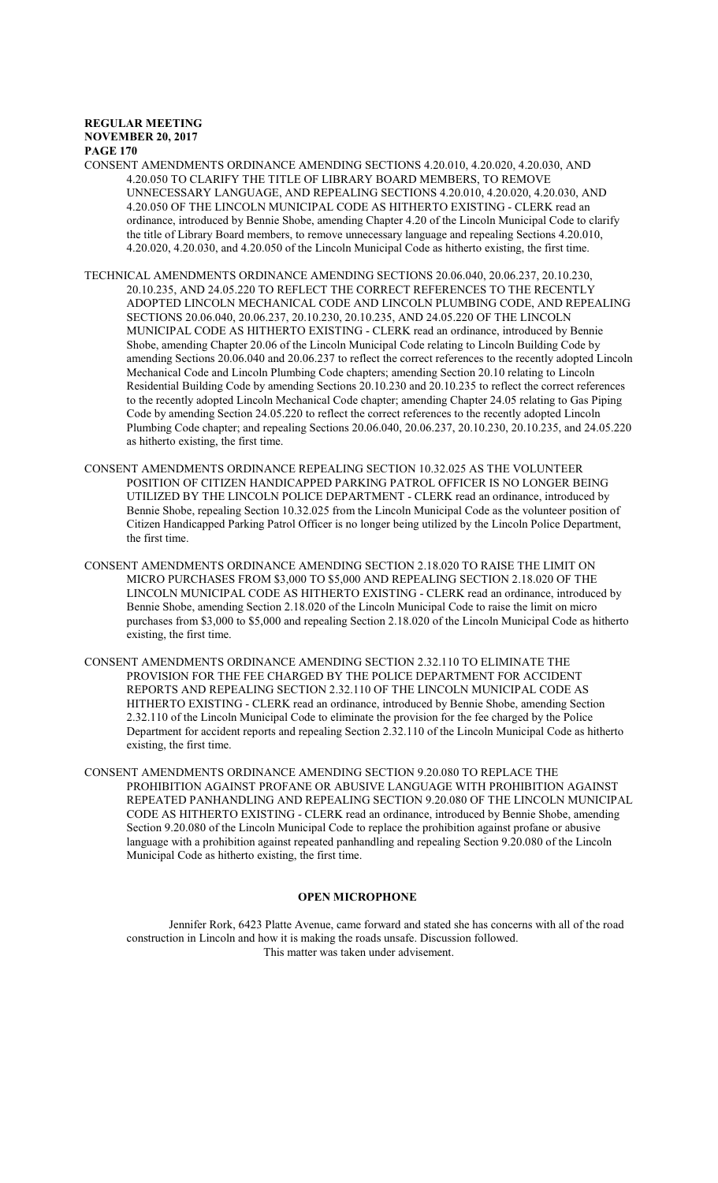CONSENT AMENDMENTS ORDINANCE AMENDING SECTIONS 4.20.010, 4.20.020, 4.20.030, AND 4.20.050 TO CLARIFY THE TITLE OF LIBRARY BOARD MEMBERS, TO REMOVE UNNECESSARY LANGUAGE, AND REPEALING SECTIONS 4.20.010, 4.20.020, 4.20.030, AND 4.20.050 OF THE LINCOLN MUNICIPAL CODE AS HITHERTO EXISTING - CLERK read an ordinance, introduced by Bennie Shobe, amending Chapter 4.20 of the Lincoln Municipal Code to clarify the title of Library Board members, to remove unnecessary language and repealing Sections 4.20.010, 4.20.020, 4.20.030, and 4.20.050 of the Lincoln Municipal Code as hitherto existing, the first time.

- TECHNICAL AMENDMENTS ORDINANCE AMENDING SECTIONS 20.06.040, 20.06.237, 20.10.230, 20.10.235, AND 24.05.220 TO REFLECT THE CORRECT REFERENCES TO THE RECENTLY ADOPTED LINCOLN MECHANICAL CODE AND LINCOLN PLUMBING CODE, AND REPEALING SECTIONS 20.06.040, 20.06.237, 20.10.230, 20.10.235, AND 24.05.220 OF THE LINCOLN MUNICIPAL CODE AS HITHERTO EXISTING - CLERK read an ordinance, introduced by Bennie Shobe, amending Chapter 20.06 of the Lincoln Municipal Code relating to Lincoln Building Code by amending Sections 20.06.040 and 20.06.237 to reflect the correct references to the recently adopted Lincoln Mechanical Code and Lincoln Plumbing Code chapters; amending Section 20.10 relating to Lincoln Residential Building Code by amending Sections 20.10.230 and 20.10.235 to reflect the correct references to the recently adopted Lincoln Mechanical Code chapter; amending Chapter 24.05 relating to Gas Piping Code by amending Section 24.05.220 to reflect the correct references to the recently adopted Lincoln Plumbing Code chapter; and repealing Sections 20.06.040, 20.06.237, 20.10.230, 20.10.235, and 24.05.220 as hitherto existing, the first time.
- CONSENT AMENDMENTS ORDINANCE REPEALING SECTION 10.32.025 AS THE VOLUNTEER POSITION OF CITIZEN HANDICAPPED PARKING PATROL OFFICER IS NO LONGER BEING UTILIZED BY THE LINCOLN POLICE DEPARTMENT - CLERK read an ordinance, introduced by Bennie Shobe, repealing Section 10.32.025 from the Lincoln Municipal Code as the volunteer position of Citizen Handicapped Parking Patrol Officer is no longer being utilized by the Lincoln Police Department, the first time.
- CONSENT AMENDMENTS ORDINANCE AMENDING SECTION 2.18.020 TO RAISE THE LIMIT ON MICRO PURCHASES FROM \$3,000 TO \$5,000 AND REPEALING SECTION 2.18.020 OF THE LINCOLN MUNICIPAL CODE AS HITHERTO EXISTING - CLERK read an ordinance, introduced by Bennie Shobe, amending Section 2.18.020 of the Lincoln Municipal Code to raise the limit on micro purchases from \$3,000 to \$5,000 and repealing Section 2.18.020 of the Lincoln Municipal Code as hitherto existing, the first time.
- CONSENT AMENDMENTS ORDINANCE AMENDING SECTION 2.32.110 TO ELIMINATE THE PROVISION FOR THE FEE CHARGED BY THE POLICE DEPARTMENT FOR ACCIDENT REPORTS AND REPEALING SECTION 2.32.110 OF THE LINCOLN MUNICIPAL CODE AS HITHERTO EXISTING - CLERK read an ordinance, introduced by Bennie Shobe, amending Section 2.32.110 of the Lincoln Municipal Code to eliminate the provision for the fee charged by the Police Department for accident reports and repealing Section 2.32.110 of the Lincoln Municipal Code as hitherto existing, the first time.
- CONSENT AMENDMENTS ORDINANCE AMENDING SECTION 9.20.080 TO REPLACE THE PROHIBITION AGAINST PROFANE OR ABUSIVE LANGUAGE WITH PROHIBITION AGAINST REPEATED PANHANDLING AND REPEALING SECTION 9.20.080 OF THE LINCOLN MUNICIPAL CODE AS HITHERTO EXISTING - CLERK read an ordinance, introduced by Bennie Shobe, amending Section 9.20.080 of the Lincoln Municipal Code to replace the prohibition against profane or abusive language with a prohibition against repeated panhandling and repealing Section 9.20.080 of the Lincoln Municipal Code as hitherto existing, the first time.

### **OPEN MICROPHONE**

Jennifer Rork, 6423 Platte Avenue, came forward and stated she has concerns with all of the road construction in Lincoln and how it is making the roads unsafe. Discussion followed. This matter was taken under advisement.